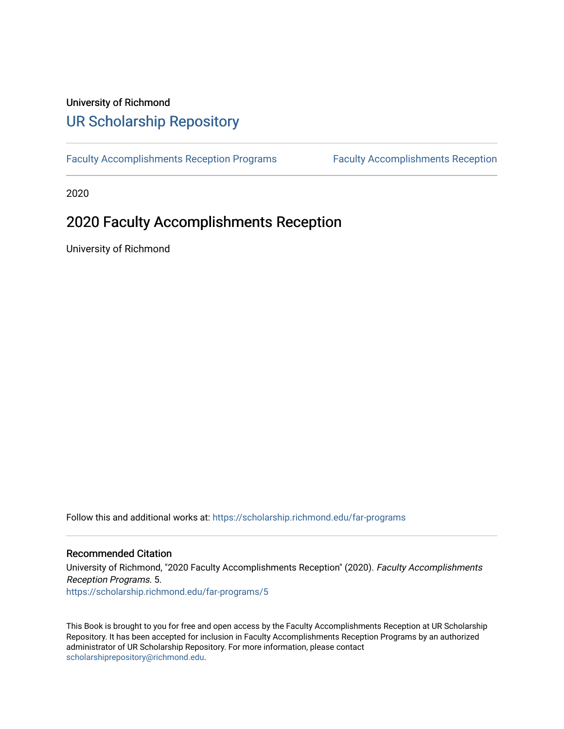## University of Richmond [UR Scholarship Repository](https://scholarship.richmond.edu/)

[Faculty Accomplishments Reception Programs](https://scholarship.richmond.edu/far-programs) [Faculty Accomplishments Reception](https://scholarship.richmond.edu/facultyaccomplishments) 

2020

## 2020 Faculty Accomplishments Reception

University of Richmond

Follow this and additional works at: [https://scholarship.richmond.edu/far-programs](https://scholarship.richmond.edu/far-programs?utm_source=scholarship.richmond.edu%2Ffar-programs%2F5&utm_medium=PDF&utm_campaign=PDFCoverPages) 

### Recommended Citation

University of Richmond, "2020 Faculty Accomplishments Reception" (2020). Faculty Accomplishments Reception Programs. 5. [https://scholarship.richmond.edu/far-programs/5](https://scholarship.richmond.edu/far-programs/5?utm_source=scholarship.richmond.edu%2Ffar-programs%2F5&utm_medium=PDF&utm_campaign=PDFCoverPages)

This Book is brought to you for free and open access by the Faculty Accomplishments Reception at UR Scholarship Repository. It has been accepted for inclusion in Faculty Accomplishments Reception Programs by an authorized administrator of UR Scholarship Repository. For more information, please contact [scholarshiprepository@richmond.edu.](mailto:scholarshiprepository@richmond.edu)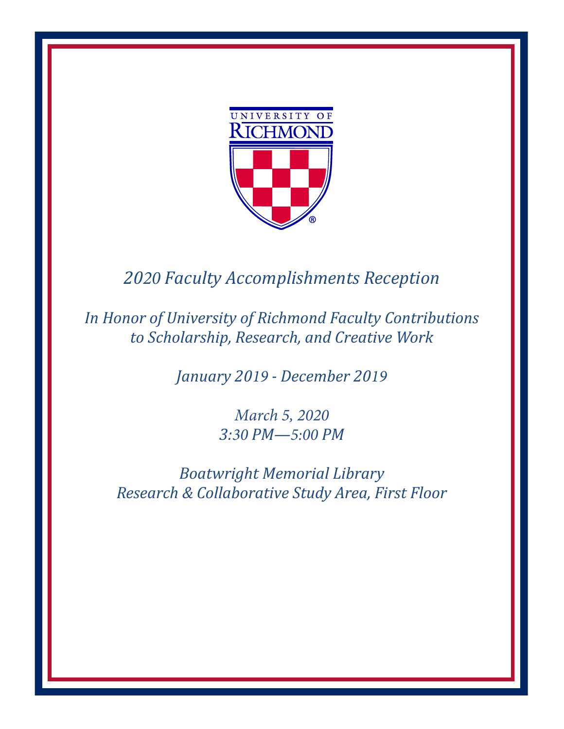

# *2020 Faculty Accomplishments Reception*

*In Honor of University of Richmond Faculty Contributions to Scholarship, Research, and Creative Work*

*January 2019 - December 2019*

*March 5, 2020 3:30 PM—5:00 PM*

*Boatwright Memorial Library Research & Collaborative Study Area, First Floor*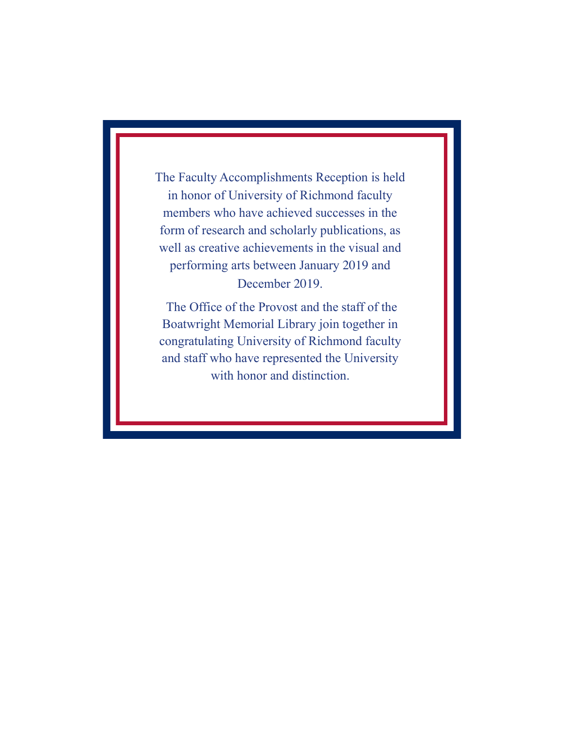The Faculty Accomplishments Reception is held in honor of University of Richmond faculty members who have achieved successes in the form of research and scholarly publications, as well as creative achievements in the visual and performing arts between January 2019 and December 2019.

The Office of the Provost and the staff of the Boatwright Memorial Library join together in congratulating University of Richmond faculty and staff who have represented the University with honor and distinction.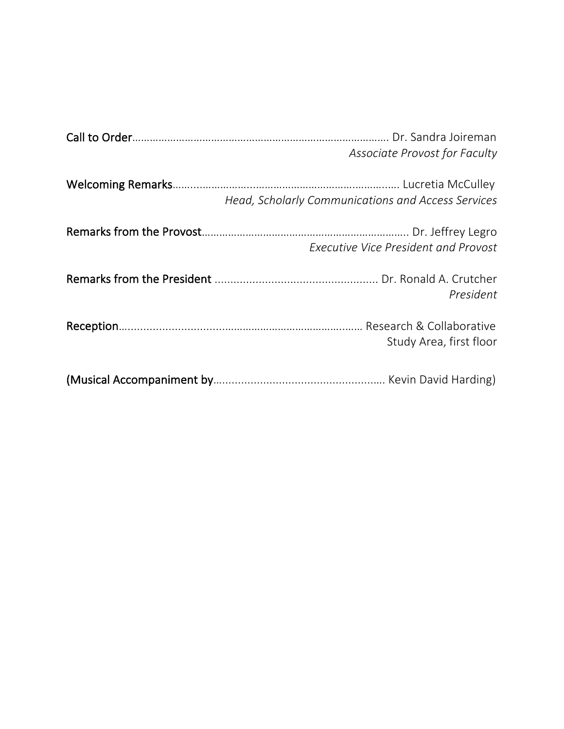| Associate Provost for Faculty                      |
|----------------------------------------------------|
| Head, Scholarly Communications and Access Services |
| <b>Executive Vice President and Provost</b>        |
| President                                          |
| Study Area, first floor                            |
|                                                    |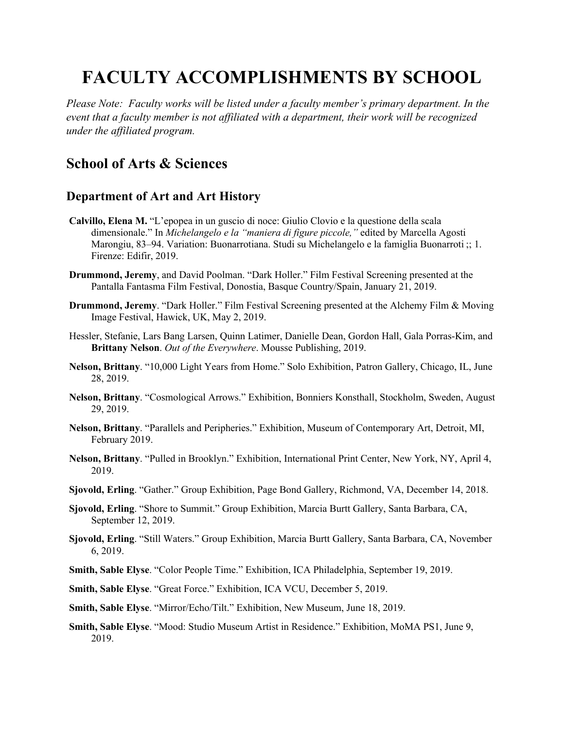# **FACULTY ACCOMPLISHMENTS BY SCHOOL**

*Please Note: Faculty works will be listed under a faculty member's primary department. In the event that a faculty member is not affiliated with a department, their work will be recognized under the affiliated program.* 

## **School of Arts & Sciences**

## **Department of Art and Art History**

- **Calvillo, Elena M.** "L'epopea in un guscio di noce: Giulio Clovio e la questione della scala dimensionale." In *Michelangelo e la "maniera di figure piccole,"* edited by Marcella Agosti Marongiu, 83–94. Variation: Buonarrotiana. Studi su Michelangelo e la famiglia Buonarroti ;; 1. Firenze: Edifir, 2019.
- **Drummond, Jeremy**, and David Poolman. "Dark Holler." Film Festival Screening presented at the Pantalla Fantasma Film Festival, Donostia, Basque Country/Spain, January 21, 2019.
- **Drummond, Jeremy**. "Dark Holler." Film Festival Screening presented at the Alchemy Film & Moving Image Festival, Hawick, UK, May 2, 2019.
- Hessler, Stefanie, Lars Bang Larsen, Quinn Latimer, Danielle Dean, Gordon Hall, Gala Porras-Kim, and **Brittany Nelson**. *Out of the Everywhere*. Mousse Publishing, 2019.
- **Nelson, Brittany**. "10,000 Light Years from Home." Solo Exhibition, Patron Gallery, Chicago, IL, June 28, 2019.
- **Nelson, Brittany**. "Cosmological Arrows." Exhibition, Bonniers Konsthall, Stockholm, Sweden, August 29, 2019.
- **Nelson, Brittany**. "Parallels and Peripheries." Exhibition, Museum of Contemporary Art, Detroit, MI, February 2019.
- **Nelson, Brittany**. "Pulled in Brooklyn." Exhibition, International Print Center, New York, NY, April 4, 2019.
- **Sjovold, Erling**. "Gather." Group Exhibition, Page Bond Gallery, Richmond, VA, December 14, 2018.
- **Sjovold, Erling**. "Shore to Summit." Group Exhibition, Marcia Burtt Gallery, Santa Barbara, CA, September 12, 2019.
- **Sjovold, Erling**. "Still Waters." Group Exhibition, Marcia Burtt Gallery, Santa Barbara, CA, November 6, 2019.
- **Smith, Sable Elyse**. "Color People Time." Exhibition, ICA Philadelphia, September 19, 2019.
- **Smith, Sable Elyse**. "Great Force." Exhibition, ICA VCU, December 5, 2019.
- **Smith, Sable Elyse**. "Mirror/Echo/Tilt." Exhibition, New Museum, June 18, 2019.
- **Smith, Sable Elyse**. "Mood: Studio Museum Artist in Residence." Exhibition, MoMA PS1, June 9, 2019.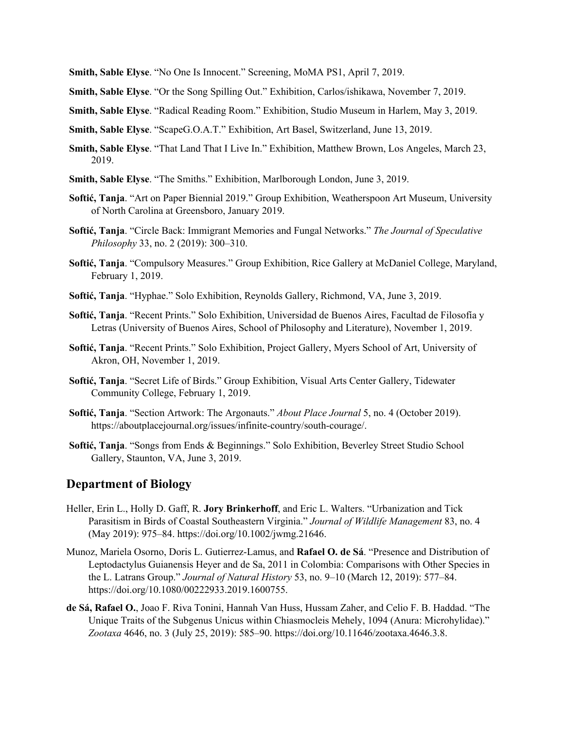- **Smith, Sable Elyse**. "No One Is Innocent." Screening, MoMA PS1, April 7, 2019.
- **Smith, Sable Elyse**. "Or the Song Spilling Out." Exhibition, Carlos/ishikawa, November 7, 2019.
- **Smith, Sable Elyse**. "Radical Reading Room." Exhibition, Studio Museum in Harlem, May 3, 2019.
- **Smith, Sable Elyse**. "ScapeG.O.A.T." Exhibition, Art Basel, Switzerland, June 13, 2019.
- **Smith, Sable Elyse**. "That Land That I Live In." Exhibition, Matthew Brown, Los Angeles, March 23, 2019.
- **Smith, Sable Elyse**. "The Smiths." Exhibition, Marlborough London, June 3, 2019.
- **Softić, Tanja**. "Art on Paper Biennial 2019." Group Exhibition, Weatherspoon Art Museum, University of North Carolina at Greensboro, January 2019.
- **Softić, Tanja**. "Circle Back: Immigrant Memories and Fungal Networks." *The Journal of Speculative Philosophy* 33, no. 2 (2019): 300–310.
- **Softić, Tanja**. "Compulsory Measures." Group Exhibition, Rice Gallery at McDaniel College, Maryland, February 1, 2019.
- **Softić, Tanja**. "Hyphae." Solo Exhibition, Reynolds Gallery, Richmond, VA, June 3, 2019.
- **Softić, Tanja**. "Recent Prints." Solo Exhibition, Universidad de Buenos Aires, Facultad de Filosofía y Letras (University of Buenos Aires, School of Philosophy and Literature), November 1, 2019.
- **Softić, Tanja**. "Recent Prints." Solo Exhibition, Project Gallery, Myers School of Art, University of Akron, OH, November 1, 2019.
- **Softić, Tanja**. "Secret Life of Birds." Group Exhibition, Visual Arts Center Gallery, Tidewater Community College, February 1, 2019.
- **Softić, Tanja**. "Section Artwork: The Argonauts." *About Place Journal* 5, no. 4 (October 2019). https://aboutplacejournal.org/issues/infinite-country/south-courage/.
- **Softić, Tanja**. "Songs from Ends & Beginnings." Solo Exhibition, Beverley Street Studio School Gallery, Staunton, VA, June 3, 2019.

### **Department of Biology**

- Heller, Erin L., Holly D. Gaff, R. **Jory Brinkerhoff**, and Eric L. Walters. "Urbanization and Tick Parasitism in Birds of Coastal Southeastern Virginia." *Journal of Wildlife Management* 83, no. 4 (May 2019): 975–84. https://doi.org/10.1002/jwmg.21646.
- Munoz, Mariela Osorno, Doris L. Gutierrez-Lamus, and **Rafael O. de Sá**. "Presence and Distribution of Leptodactylus Guianensis Heyer and de Sa, 2011 in Colombia: Comparisons with Other Species in the L. Latrans Group." *Journal of Natural History* 53, no. 9–10 (March 12, 2019): 577–84. https://doi.org/10.1080/00222933.2019.1600755.
- **de Sá, Rafael O.**, Joao F. Riva Tonini, Hannah Van Huss, Hussam Zaher, and Celio F. B. Haddad. "The Unique Traits of the Subgenus Unicus within Chiasmocleis Mehely, 1094 (Anura: Microhylidae)." *Zootaxa* 4646, no. 3 (July 25, 2019): 585–90. https://doi.org/10.11646/zootaxa.4646.3.8.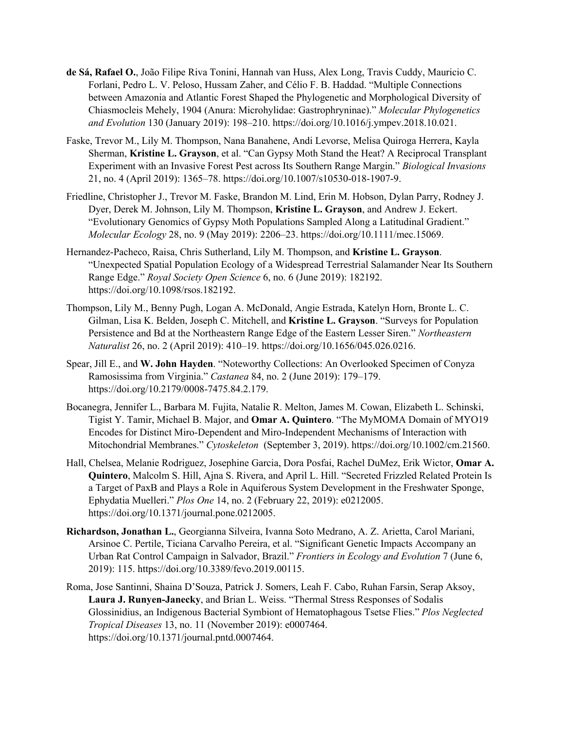- **de Sá, Rafael O.**, João Filipe Riva Tonini, Hannah van Huss, Alex Long, Travis Cuddy, Mauricio C. Forlani, Pedro L. V. Peloso, Hussam Zaher, and Célio F. B. Haddad. "Multiple Connections between Amazonia and Atlantic Forest Shaped the Phylogenetic and Morphological Diversity of Chiasmocleis Mehely, 1904 (Anura: Microhylidae: Gastrophryninae)." *Molecular Phylogenetics and Evolution* 130 (January 2019): 198–210. https://doi.org/10.1016/j.ympev.2018.10.021.
- Faske, Trevor M., Lily M. Thompson, Nana Banahene, Andi Levorse, Melisa Quiroga Herrera, Kayla Sherman, **Kristine L. Grayson**, et al. "Can Gypsy Moth Stand the Heat? A Reciprocal Transplant Experiment with an Invasive Forest Pest across Its Southern Range Margin." *Biological Invasions* 21, no. 4 (April 2019): 1365–78. https://doi.org/10.1007/s10530-018-1907-9.
- Friedline, Christopher J., Trevor M. Faske, Brandon M. Lind, Erin M. Hobson, Dylan Parry, Rodney J. Dyer, Derek M. Johnson, Lily M. Thompson, **Kristine L. Grayson**, and Andrew J. Eckert. "Evolutionary Genomics of Gypsy Moth Populations Sampled Along a Latitudinal Gradient." *Molecular Ecology* 28, no. 9 (May 2019): 2206–23. https://doi.org/10.1111/mec.15069.
- Hernandez-Pacheco, Raisa, Chris Sutherland, Lily M. Thompson, and **Kristine L. Grayson**. "Unexpected Spatial Population Ecology of a Widespread Terrestrial Salamander Near Its Southern Range Edge." *Royal Society Open Science* 6, no. 6 (June 2019): 182192. https://doi.org/10.1098/rsos.182192.
- Thompson, Lily M., Benny Pugh, Logan A. McDonald, Angie Estrada, Katelyn Horn, Bronte L. C. Gilman, Lisa K. Belden, Joseph C. Mitchell, and **Kristine L. Grayson**. "Surveys for Population Persistence and Bd at the Northeastern Range Edge of the Eastern Lesser Siren." *Northeastern Naturalist* 26, no. 2 (April 2019): 410–19. https://doi.org/10.1656/045.026.0216.
- Spear, Jill E., and **W. John Hayden**. "Noteworthy Collections: An Overlooked Specimen of Conyza Ramosissima from Virginia." *Castanea* 84, no. 2 (June 2019): 179–179. https://doi.org/10.2179/0008-7475.84.2.179.
- Bocanegra, Jennifer L., Barbara M. Fujita, Natalie R. Melton, James M. Cowan, Elizabeth L. Schinski, Tigist Y. Tamir, Michael B. Major, and **Omar A. Quintero**. "The MyMOMA Domain of MYO19 Encodes for Distinct Miro-Dependent and Miro-Independent Mechanisms of Interaction with Mitochondrial Membranes." *Cytoskeleton* (September 3, 2019). https://doi.org/10.1002/cm.21560.
- Hall, Chelsea, Melanie Rodriguez, Josephine Garcia, Dora Posfai, Rachel DuMez, Erik Wictor, **Omar A. Quintero**, Malcolm S. Hill, Ajna S. Rivera, and April L. Hill. "Secreted Frizzled Related Protein Is a Target of PaxB and Plays a Role in Aquiferous System Development in the Freshwater Sponge, Ephydatia Muelleri." *Plos One* 14, no. 2 (February 22, 2019): e0212005. https://doi.org/10.1371/journal.pone.0212005.
- **Richardson, Jonathan L.**, Georgianna Silveira, Ivanna Soto Medrano, A. Z. Arietta, Carol Mariani, Arsinoe C. Pertile, Ticiana Carvalho Pereira, et al. "Significant Genetic Impacts Accompany an Urban Rat Control Campaign in Salvador, Brazil." *Frontiers in Ecology and Evolution* 7 (June 6, 2019): 115. https://doi.org/10.3389/fevo.2019.00115.
- Roma, Jose Santinni, Shaina D'Souza, Patrick J. Somers, Leah F. Cabo, Ruhan Farsin, Serap Aksoy, **Laura J. Runyen-Janecky**, and Brian L. Weiss. "Thermal Stress Responses of Sodalis Glossinidius, an Indigenous Bacterial Symbiont of Hematophagous Tsetse Flies." *Plos Neglected Tropical Diseases* 13, no. 11 (November 2019): e0007464. https://doi.org/10.1371/journal.pntd.0007464.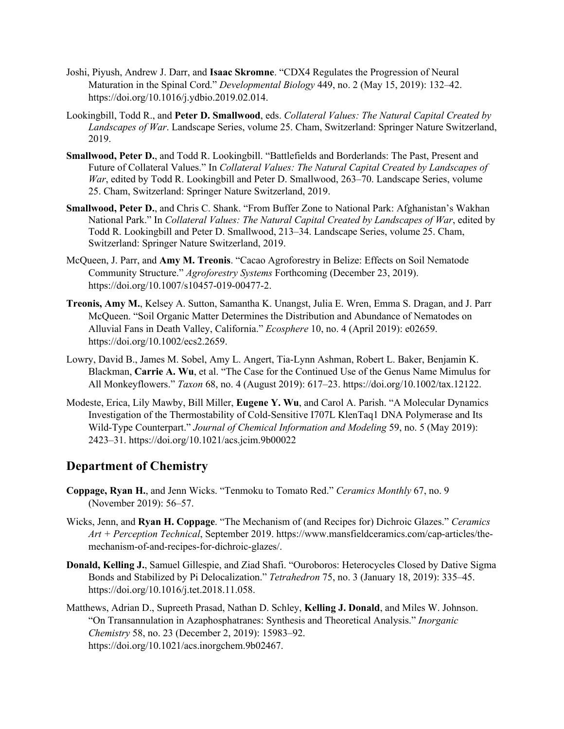- Joshi, Piyush, Andrew J. Darr, and **Isaac Skromne**. "CDX4 Regulates the Progression of Neural Maturation in the Spinal Cord." *Developmental Biology* 449, no. 2 (May 15, 2019): 132–42. https://doi.org/10.1016/j.ydbio.2019.02.014.
- Lookingbill, Todd R., and **Peter D. Smallwood**, eds. *Collateral Values: The Natural Capital Created by Landscapes of War*. Landscape Series, volume 25. Cham, Switzerland: Springer Nature Switzerland, 2019.
- **Smallwood, Peter D.**, and Todd R. Lookingbill. "Battlefields and Borderlands: The Past, Present and Future of Collateral Values." In *Collateral Values: The Natural Capital Created by Landscapes of War*, edited by Todd R. Lookingbill and Peter D. Smallwood, 263–70. Landscape Series, volume 25. Cham, Switzerland: Springer Nature Switzerland, 2019.
- **Smallwood, Peter D.**, and Chris C. Shank. "From Buffer Zone to National Park: Afghanistan's Wakhan National Park." In *Collateral Values: The Natural Capital Created by Landscapes of War*, edited by Todd R. Lookingbill and Peter D. Smallwood, 213–34. Landscape Series, volume 25. Cham, Switzerland: Springer Nature Switzerland, 2019.
- McQueen, J. Parr, and **Amy M. Treonis**. "Cacao Agroforestry in Belize: Effects on Soil Nematode Community Structure." *Agroforestry Systems* Forthcoming (December 23, 2019). https://doi.org/10.1007/s10457-019-00477-2.
- **Treonis, Amy M.**, Kelsey A. Sutton, Samantha K. Unangst, Julia E. Wren, Emma S. Dragan, and J. Parr McQueen. "Soil Organic Matter Determines the Distribution and Abundance of Nematodes on Alluvial Fans in Death Valley, California." *Ecosphere* 10, no. 4 (April 2019): e02659. https://doi.org/10.1002/ecs2.2659.
- Lowry, David B., James M. Sobel, Amy L. Angert, Tia-Lynn Ashman, Robert L. Baker, Benjamin K. Blackman, **Carrie A. Wu**, et al. "The Case for the Continued Use of the Genus Name Mimulus for All Monkeyflowers." *Taxon* 68, no. 4 (August 2019): 617–23. https://doi.org/10.1002/tax.12122.
- Modeste, Erica, Lily Mawby, Bill Miller, **Eugene Y. Wu**, and Carol A. Parish. "A Molecular Dynamics Investigation of the Thermostability of Cold-Sensitive I707L KlenTaq1 DNA Polymerase and Its Wild-Type Counterpart." *Journal of Chemical Information and Modeling* 59, no. 5 (May 2019): 2423–31. https://doi.org/10.1021/acs.jcim.9b00022

## **Department of Chemistry**

- **Coppage, Ryan H.**, and Jenn Wicks. "Tenmoku to Tomato Red." *Ceramics Monthly* 67, no. 9 (November 2019): 56–57.
- Wicks, Jenn, and **Ryan H. Coppage**. "The Mechanism of (and Recipes for) Dichroic Glazes." *Ceramics Art + Perception Technical*, September 2019. https://www.mansfieldceramics.com/cap-articles/themechanism-of-and-recipes-for-dichroic-glazes/.
- **Donald, Kelling J.**, Samuel Gillespie, and Ziad Shafi. "Ouroboros: Heterocycles Closed by Dative Sigma Bonds and Stabilized by Pi Delocalization." *Tetrahedron* 75, no. 3 (January 18, 2019): 335–45. https://doi.org/10.1016/j.tet.2018.11.058.
- Matthews, Adrian D., Supreeth Prasad, Nathan D. Schley, **Kelling J. Donald**, and Miles W. Johnson. "On Transannulation in Azaphosphatranes: Synthesis and Theoretical Analysis." *Inorganic Chemistry* 58, no. 23 (December 2, 2019): 15983–92. https://doi.org/10.1021/acs.inorgchem.9b02467.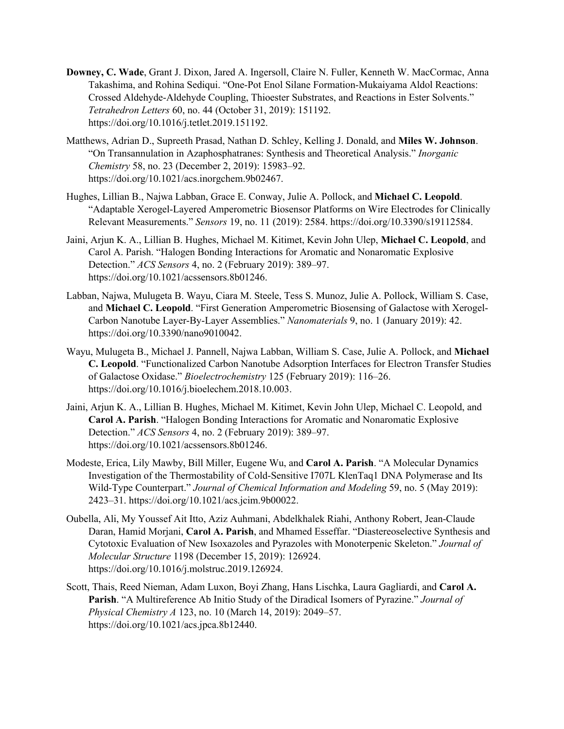- **Downey, C. Wade**, Grant J. Dixon, Jared A. Ingersoll, Claire N. Fuller, Kenneth W. MacCormac, Anna Takashima, and Rohina Sediqui. "One-Pot Enol Silane Formation-Mukaiyama Aldol Reactions: Crossed Aldehyde-Aldehyde Coupling, Thioester Substrates, and Reactions in Ester Solvents." *Tetrahedron Letters* 60, no. 44 (October 31, 2019): 151192. https://doi.org/10.1016/j.tetlet.2019.151192.
- Matthews, Adrian D., Supreeth Prasad, Nathan D. Schley, Kelling J. Donald, and **Miles W. Johnson**. "On Transannulation in Azaphosphatranes: Synthesis and Theoretical Analysis." *Inorganic Chemistry* 58, no. 23 (December 2, 2019): 15983–92. https://doi.org/10.1021/acs.inorgchem.9b02467.
- Hughes, Lillian B., Najwa Labban, Grace E. Conway, Julie A. Pollock, and **Michael C. Leopold**. "Adaptable Xerogel-Layered Amperometric Biosensor Platforms on Wire Electrodes for Clinically Relevant Measurements." *Sensors* 19, no. 11 (2019): 2584. https://doi.org/10.3390/s19112584.
- Jaini, Arjun K. A., Lillian B. Hughes, Michael M. Kitimet, Kevin John Ulep, **Michael C. Leopold**, and Carol A. Parish. "Halogen Bonding Interactions for Aromatic and Nonaromatic Explosive Detection." *ACS Sensors* 4, no. 2 (February 2019): 389–97. https://doi.org/10.1021/acssensors.8b01246.
- Labban, Najwa, Mulugeta B. Wayu, Ciara M. Steele, Tess S. Munoz, Julie A. Pollock, William S. Case, and **Michael C. Leopold**. "First Generation Amperometric Biosensing of Galactose with Xerogel-Carbon Nanotube Layer-By-Layer Assemblies." *Nanomaterials* 9, no. 1 (January 2019): 42. https://doi.org/10.3390/nano9010042.
- Wayu, Mulugeta B., Michael J. Pannell, Najwa Labban, William S. Case, Julie A. Pollock, and **Michael C. Leopold**. "Functionalized Carbon Nanotube Adsorption Interfaces for Electron Transfer Studies of Galactose Oxidase." *Bioelectrochemistry* 125 (February 2019): 116–26. https://doi.org/10.1016/j.bioelechem.2018.10.003.
- Jaini, Arjun K. A., Lillian B. Hughes, Michael M. Kitimet, Kevin John Ulep, Michael C. Leopold, and **Carol A. Parish**. "Halogen Bonding Interactions for Aromatic and Nonaromatic Explosive Detection." *ACS Sensors* 4, no. 2 (February 2019): 389–97. https://doi.org/10.1021/acssensors.8b01246.
- Modeste, Erica, Lily Mawby, Bill Miller, Eugene Wu, and **Carol A. Parish**. "A Molecular Dynamics Investigation of the Thermostability of Cold-Sensitive I707L KlenTaq1 DNA Polymerase and Its Wild-Type Counterpart." *Journal of Chemical Information and Modeling* 59, no. 5 (May 2019): 2423–31. https://doi.org/10.1021/acs.jcim.9b00022.
- Oubella, Ali, My Youssef Ait Itto, Aziz Auhmani, Abdelkhalek Riahi, Anthony Robert, Jean-Claude Daran, Hamid Morjani, **Carol A. Parish**, and Mhamed Esseffar. "Diastereoselective Synthesis and Cytotoxic Evaluation of New Isoxazoles and Pyrazoles with Monoterpenic Skeleton." *Journal of Molecular Structure* 1198 (December 15, 2019): 126924. https://doi.org/10.1016/j.molstruc.2019.126924.
- Scott, Thais, Reed Nieman, Adam Luxon, Boyi Zhang, Hans Lischka, Laura Gagliardi, and **Carol A. Parish**. "A Multireference Ab Initio Study of the Diradical Isomers of Pyrazine." *Journal of Physical Chemistry A* 123, no. 10 (March 14, 2019): 2049–57. https://doi.org/10.1021/acs.jpca.8b12440.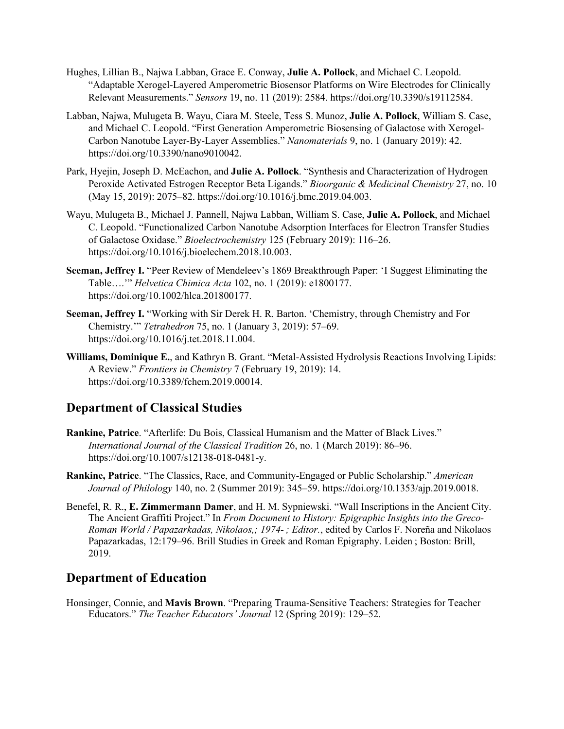- Hughes, Lillian B., Najwa Labban, Grace E. Conway, **Julie A. Pollock**, and Michael C. Leopold. "Adaptable Xerogel-Layered Amperometric Biosensor Platforms on Wire Electrodes for Clinically Relevant Measurements." *Sensors* 19, no. 11 (2019): 2584. https://doi.org/10.3390/s19112584.
- Labban, Najwa, Mulugeta B. Wayu, Ciara M. Steele, Tess S. Munoz, **Julie A. Pollock**, William S. Case, and Michael C. Leopold. "First Generation Amperometric Biosensing of Galactose with Xerogel-Carbon Nanotube Layer-By-Layer Assemblies." *Nanomaterials* 9, no. 1 (January 2019): 42. https://doi.org/10.3390/nano9010042.
- Park, Hyejin, Joseph D. McEachon, and **Julie A. Pollock**. "Synthesis and Characterization of Hydrogen Peroxide Activated Estrogen Receptor Beta Ligands." *Bioorganic & Medicinal Chemistry* 27, no. 10 (May 15, 2019): 2075–82. https://doi.org/10.1016/j.bmc.2019.04.003.
- Wayu, Mulugeta B., Michael J. Pannell, Najwa Labban, William S. Case, **Julie A. Pollock**, and Michael C. Leopold. "Functionalized Carbon Nanotube Adsorption Interfaces for Electron Transfer Studies of Galactose Oxidase." *Bioelectrochemistry* 125 (February 2019): 116–26. https://doi.org/10.1016/j.bioelechem.2018.10.003.
- **Seeman, Jeffrey I.** "Peer Review of Mendeleev's 1869 Breakthrough Paper: 'I Suggest Eliminating the Table….'" *Helvetica Chimica Acta* 102, no. 1 (2019): e1800177. https://doi.org/10.1002/hlca.201800177.
- **Seeman, Jeffrey I.** "Working with Sir Derek H. R. Barton. 'Chemistry, through Chemistry and For Chemistry.'" *Tetrahedron* 75, no. 1 (January 3, 2019): 57–69. https://doi.org/10.1016/j.tet.2018.11.004.
- **Williams, Dominique E.**, and Kathryn B. Grant. "Metal-Assisted Hydrolysis Reactions Involving Lipids: A Review." *Frontiers in Chemistry* 7 (February 19, 2019): 14. https://doi.org/10.3389/fchem.2019.00014.

## **Department of Classical Studies**

- **Rankine, Patrice**. "Afterlife: Du Bois, Classical Humanism and the Matter of Black Lives." *International Journal of the Classical Tradition* 26, no. 1 (March 2019): 86–96. https://doi.org/10.1007/s12138-018-0481-y.
- **Rankine, Patrice**. "The Classics, Race, and Community-Engaged or Public Scholarship." *American Journal of Philology* 140, no. 2 (Summer 2019): 345–59. https://doi.org/10.1353/ajp.2019.0018.
- Benefel, R. R., **E. Zimmermann Damer**, and H. M. Sypniewski. "Wall Inscriptions in the Ancient City. The Ancient Graffiti Project." In *From Document to History: Epigraphic Insights into the Greco-Roman World / Papazarkadas, Nikolaos,; 1974- ; Editor.*, edited by Carlos F. Noreña and Nikolaos Papazarkadas, 12:179–96. Brill Studies in Greek and Roman Epigraphy. Leiden ; Boston: Brill, 2019.

## **Department of Education**

Honsinger, Connie, and **Mavis Brown**. "Preparing Trauma-Sensitive Teachers: Strategies for Teacher Educators." *The Teacher Educators' Journal* 12 (Spring 2019): 129–52.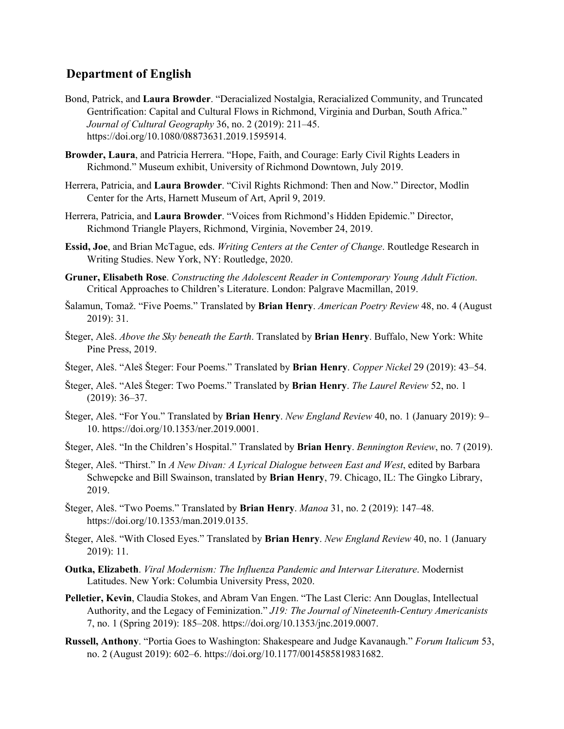## **Department of English**

- Bond, Patrick, and **Laura Browder**. "Deracialized Nostalgia, Reracialized Community, and Truncated Gentrification: Capital and Cultural Flows in Richmond, Virginia and Durban, South Africa." *Journal of Cultural Geography* 36, no. 2 (2019): 211–45. https://doi.org/10.1080/08873631.2019.1595914.
- **Browder, Laura**, and Patricia Herrera. "Hope, Faith, and Courage: Early Civil Rights Leaders in Richmond." Museum exhibit, University of Richmond Downtown, July 2019.
- Herrera, Patricia, and **Laura Browder**. "Civil Rights Richmond: Then and Now." Director, Modlin Center for the Arts, Harnett Museum of Art, April 9, 2019.
- Herrera, Patricia, and **Laura Browder**. "Voices from Richmond's Hidden Epidemic." Director, Richmond Triangle Players, Richmond, Virginia, November 24, 2019.
- **Essid, Joe**, and Brian McTague, eds. *Writing Centers at the Center of Change*. Routledge Research in Writing Studies. New York, NY: Routledge, 2020.
- **Gruner, Elisabeth Rose**. *Constructing the Adolescent Reader in Contemporary Young Adult Fiction*. Critical Approaches to Children's Literature. London: Palgrave Macmillan, 2019.
- Šalamun, Tomaž. "Five Poems." Translated by **Brian Henry**. *American Poetry Review* 48, no. 4 (August 2019): 31.
- Šteger, Aleš. *Above the Sky beneath the Earth*. Translated by **Brian Henry**. Buffalo, New York: White Pine Press, 2019.
- Šteger, Aleš. "Aleš Šteger: Four Poems." Translated by **Brian Henry**. *Copper Nickel* 29 (2019): 43–54.
- Šteger, Aleš. "Aleš Šteger: Two Poems." Translated by **Brian Henry**. *The Laurel Review* 52, no. 1 (2019): 36–37.
- Šteger, Aleš. "For You." Translated by **Brian Henry**. *New England Review* 40, no. 1 (January 2019): 9– 10. https://doi.org/10.1353/ner.2019.0001.
- Šteger, Aleš. "In the Children's Hospital." Translated by **Brian Henry**. *Bennington Review*, no. 7 (2019).
- Šteger, Aleš. "Thirst." In *A New Divan: A Lyrical Dialogue between East and West*, edited by Barbara Schwepcke and Bill Swainson, translated by **Brian Henry**, 79. Chicago, IL: The Gingko Library, 2019.
- Šteger, Aleš. "Two Poems." Translated by **Brian Henry**. *Manoa* 31, no. 2 (2019): 147–48. https://doi.org/10.1353/man.2019.0135.
- Šteger, Aleš. "With Closed Eyes." Translated by **Brian Henry**. *New England Review* 40, no. 1 (January 2019): 11.
- **Outka, Elizabeth**. *Viral Modernism: The Influenza Pandemic and Interwar Literature*. Modernist Latitudes. New York: Columbia University Press, 2020.
- **Pelletier, Kevin**, Claudia Stokes, and Abram Van Engen. "The Last Cleric: Ann Douglas, Intellectual Authority, and the Legacy of Feminization." *J19: The Journal of Nineteenth-Century Americanists* 7, no. 1 (Spring 2019): 185–208. https://doi.org/10.1353/jnc.2019.0007.
- **Russell, Anthony**. "Portia Goes to Washington: Shakespeare and Judge Kavanaugh." *Forum Italicum* 53, no. 2 (August 2019): 602–6. https://doi.org/10.1177/0014585819831682.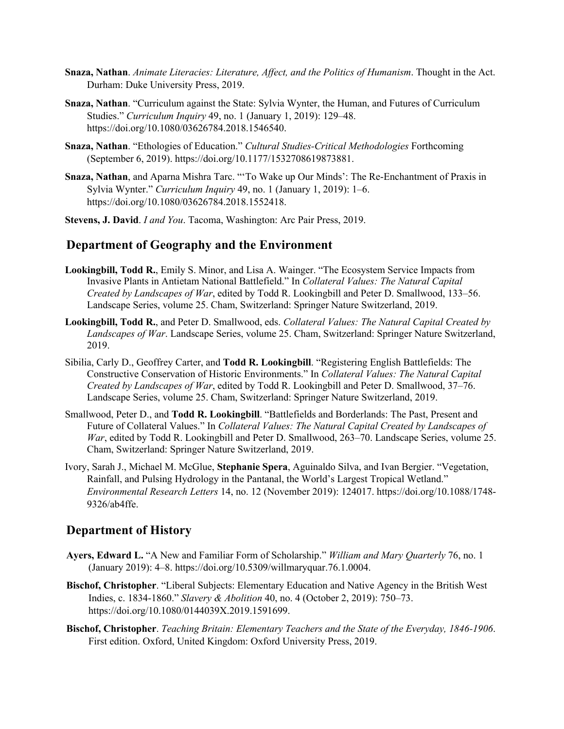- **Snaza, Nathan**. *Animate Literacies: Literature, Affect, and the Politics of Humanism*. Thought in the Act. Durham: Duke University Press, 2019.
- **Snaza, Nathan**. "Curriculum against the State: Sylvia Wynter, the Human, and Futures of Curriculum Studies." *Curriculum Inquiry* 49, no. 1 (January 1, 2019): 129–48. https://doi.org/10.1080/03626784.2018.1546540.
- **Snaza, Nathan**. "Ethologies of Education." *Cultural Studies-Critical Methodologies* Forthcoming (September 6, 2019). https://doi.org/10.1177/1532708619873881.
- **Snaza, Nathan**, and Aparna Mishra Tarc. "'To Wake up Our Minds': The Re-Enchantment of Praxis in Sylvia Wynter." *Curriculum Inquiry* 49, no. 1 (January 1, 2019): 1–6. https://doi.org/10.1080/03626784.2018.1552418.
- **Stevens, J. David**. *I and You*. Tacoma, Washington: Arc Pair Press, 2019.

## **Department of Geography and the Environment**

- **Lookingbill, Todd R.**, Emily S. Minor, and Lisa A. Wainger. "The Ecosystem Service Impacts from Invasive Plants in Antietam National Battlefield." In *Collateral Values: The Natural Capital Created by Landscapes of War*, edited by Todd R. Lookingbill and Peter D. Smallwood, 133–56. Landscape Series, volume 25. Cham, Switzerland: Springer Nature Switzerland, 2019.
- **Lookingbill, Todd R.**, and Peter D. Smallwood, eds. *Collateral Values: The Natural Capital Created by Landscapes of War*. Landscape Series, volume 25. Cham, Switzerland: Springer Nature Switzerland, 2019.
- Sibilia, Carly D., Geoffrey Carter, and **Todd R. Lookingbill**. "Registering English Battlefields: The Constructive Conservation of Historic Environments." In *Collateral Values: The Natural Capital Created by Landscapes of War*, edited by Todd R. Lookingbill and Peter D. Smallwood, 37–76. Landscape Series, volume 25. Cham, Switzerland: Springer Nature Switzerland, 2019.
- Smallwood, Peter D., and **Todd R. Lookingbill**. "Battlefields and Borderlands: The Past, Present and Future of Collateral Values." In *Collateral Values: The Natural Capital Created by Landscapes of War*, edited by Todd R. Lookingbill and Peter D. Smallwood, 263–70. Landscape Series, volume 25. Cham, Switzerland: Springer Nature Switzerland, 2019.
- Ivory, Sarah J., Michael M. McGlue, **Stephanie Spera**, Aguinaldo Silva, and Ivan Bergier. "Vegetation, Rainfall, and Pulsing Hydrology in the Pantanal, the World's Largest Tropical Wetland." *Environmental Research Letters* 14, no. 12 (November 2019): 124017. https://doi.org/10.1088/1748-  $9326/ab4$ ffe

## **Department of History**

- **Ayers, Edward L.** "A New and Familiar Form of Scholarship." *William and Mary Quarterly* 76, no. 1 (January 2019): 4–8. https://doi.org/10.5309/willmaryquar.76.1.0004.
- **Bischof, Christopher**. "Liberal Subjects: Elementary Education and Native Agency in the British West Indies, c. 1834-1860." *Slavery & Abolition* 40, no. 4 (October 2, 2019): 750–73. https://doi.org/10.1080/0144039X.2019.1591699.
- **Bischof, Christopher**. *Teaching Britain: Elementary Teachers and the State of the Everyday, 1846-1906*. First edition. Oxford, United Kingdom: Oxford University Press, 2019.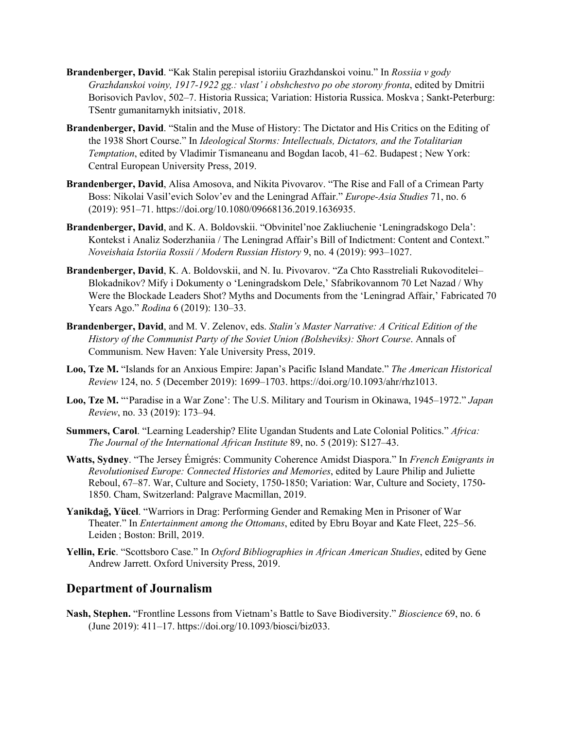- **Brandenberger, David**. "Kak Stalin perepisal istoriiu Grazhdanskoi voinu." In *Rossiia v gody Grazhdanskoi voiny, 1917-1922 gg.: vlast' i obshchestvo po obe storony fronta*, edited by Dmitrii Borisovich Pavlov, 502–7. Historia Russica; Variation: Historia Russica. Moskva ; Sankt-Peterburg: TSentr gumanitarnykh initsiativ, 2018.
- **Brandenberger, David**. "Stalin and the Muse of History: The Dictator and His Critics on the Editing of the 1938 Short Course." In *Ideological Storms: Intellectuals, Dictators, and the Totalitarian Temptation*, edited by Vladimir Tismaneanu and Bogdan Iacob, 41–62. Budapest ; New York: Central European University Press, 2019.
- **Brandenberger, David**, Alisa Amosova, and Nikita Pivovarov. "The Rise and Fall of a Crimean Party Boss: Nikolai Vasil'evich Solov'ev and the Leningrad Affair." *Europe-Asia Studies* 71, no. 6 (2019): 951–71. https://doi.org/10.1080/09668136.2019.1636935.
- **Brandenberger, David**, and K. A. Boldovskii. "Obvinitel'noe Zakliuchenie 'Leningradskogo Dela': Kontekst i Analiz Soderzhaniia / The Leningrad Affair's Bill of Indictment: Content and Context." *Noveishaia Istoriia Rossii / Modern Russian History* 9, no. 4 (2019): 993–1027.
- **Brandenberger, David**, K. A. Boldovskii, and N. Iu. Pivovarov. "Za Chto Rasstreliali Rukovoditelei– Blokadnikov? Mify i Dokumenty o 'Leningradskom Dele,' Sfabrikovannom 70 Let Nazad / Why Were the Blockade Leaders Shot? Myths and Documents from the 'Leningrad Affair,' Fabricated 70 Years Ago." *Rodina* 6 (2019): 130–33.
- **Brandenberger, David**, and M. V. Zelenov, eds. *Stalin's Master Narrative: A Critical Edition of the History of the Communist Party of the Soviet Union (Bolsheviks): Short Course*. Annals of Communism. New Haven: Yale University Press, 2019.
- **Loo, Tze M.** "Islands for an Anxious Empire: Japan's Pacific Island Mandate." *The American Historical Review* 124, no. 5 (December 2019): 1699–1703. https://doi.org/10.1093/ahr/rhz1013.
- **Loo, Tze M.** "'Paradise in a War Zone': The U.S. Military and Tourism in Okinawa, 1945–1972." *Japan Review*, no. 33 (2019): 173–94.
- **Summers, Carol**. "Learning Leadership? Elite Ugandan Students and Late Colonial Politics." *Africa: The Journal of the International African Institute* 89, no. 5 (2019): S127–43.
- **Watts, Sydney**. "The Jersey Émigrés: Community Coherence Amidst Diaspora." In *French Emigrants in Revolutionised Europe: Connected Histories and Memories*, edited by Laure Philip and Juliette Reboul, 67–87. War, Culture and Society, 1750-1850; Variation: War, Culture and Society, 1750- 1850. Cham, Switzerland: Palgrave Macmillan, 2019.
- **Yanikdağ, Yücel**. "Warriors in Drag: Performing Gender and Remaking Men in Prisoner of War Theater." In *Entertainment among the Ottomans*, edited by Ebru Boyar and Kate Fleet, 225–56. Leiden ; Boston: Brill, 2019.
- **Yellin, Eric**. "Scottsboro Case." In *Oxford Bibliographies in African American Studies*, edited by Gene Andrew Jarrett. Oxford University Press, 2019.

## **Department of Journalism**

**Nash, Stephen.** "Frontline Lessons from Vietnam's Battle to Save Biodiversity." *Bioscience* 69, no. 6 (June 2019): 411–17. https://doi.org/10.1093/biosci/biz033.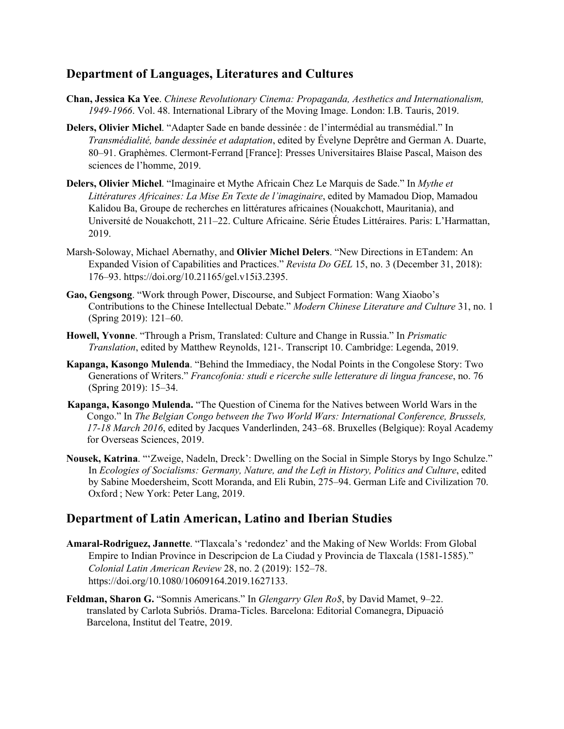## **Department of Languages, Literatures and Cultures**

- **Chan, Jessica Ka Yee**. *Chinese Revolutionary Cinema: Propaganda, Aesthetics and Internationalism, 1949-1966*. Vol. 48. International Library of the Moving Image. London: I.B. Tauris, 2019.
- **Delers, Olivier Michel**. "Adapter Sade en bande dessinée : de l'intermédial au transmédial." In *Transmédialité, bande dessinée et adaptation*, edited by Évelyne Deprêtre and German A. Duarte, 80–91. Graphèmes. Clermont-Ferrand [France]: Presses Universitaires Blaise Pascal, Maison des sciences de l'homme, 2019.
- **Delers, Olivier Michel**. "Imaginaire et Mythe Africain Chez Le Marquis de Sade." In *Mythe et Littératures Africaines: La Mise En Texte de l'imaginaire*, edited by Mamadou Diop, Mamadou Kalidou Ba, Groupe de recherches en littératures africaines (Nouakchott, Mauritania), and Université de Nouakchott, 211–22. Culture Africaine. Série Études Littéraires. Paris: L'Harmattan, 2019.
- Marsh-Soloway, Michael Abernathy, and **Olivier Michel Delers**. "New Directions in ETandem: An Expanded Vision of Capabilities and Practices." *Revista Do GEL* 15, no. 3 (December 31, 2018): 176–93. https://doi.org/10.21165/gel.v15i3.2395.
- **Gao, Gengsong**. "Work through Power, Discourse, and Subject Formation: Wang Xiaobo's Contributions to the Chinese Intellectual Debate." *Modern Chinese Literature and Culture* 31, no. 1 (Spring 2019): 121–60.
- **Howell, Yvonne**. "Through a Prism, Translated: Culture and Change in Russia." In *Prismatic Translation*, edited by Matthew Reynolds, 121-. Transcript 10. Cambridge: Legenda, 2019.
- **Kapanga, Kasongo Mulenda**. "Behind the Immediacy, the Nodal Points in the Congolese Story: Two Generations of Writers." *Francofonia: studi e ricerche sulle letterature di lingua francese*, no. 76 (Spring 2019): 15–34.
- **Kapanga, Kasongo Mulenda.** "The Question of Cinema for the Natives between World Wars in the Congo." In *The Belgian Congo between the Two World Wars: International Conference, Brussels, 17-18 March 2016*, edited by Jacques Vanderlinden, 243–68. Bruxelles (Belgique): Royal Academy for Overseas Sciences, 2019.
- **Nousek, Katrina**. "'Zweige, Nadeln, Dreck': Dwelling on the Social in Simple Storys by Ingo Schulze." In *Ecologies of Socialisms: Germany, Nature, and the Left in History, Politics and Culture*, edited by Sabine Moedersheim, Scott Moranda, and Eli Rubin, 275–94. German Life and Civilization 70. Oxford ; New York: Peter Lang, 2019.

## **Department of Latin American, Latino and Iberian Studies**

- **Amaral-Rodriguez, Jannette**. "Tlaxcala's 'redondez' and the Making of New Worlds: From Global Empire to Indian Province in Descripcion de La Ciudad y Provincia de Tlaxcala (1581-1585)." *Colonial Latin American Review* 28, no. 2 (2019): 152–78. https://doi.org/10.1080/10609164.2019.1627133.
- **Feldman, Sharon G.** "Somnis Americans." In *Glengarry Glen Ro\$*, by David Mamet, 9–22. translated by Carlota Subriós. Drama-Ticles. Barcelona: Editorial Comanegra, Dipuació Barcelona, Institut del Teatre, 2019.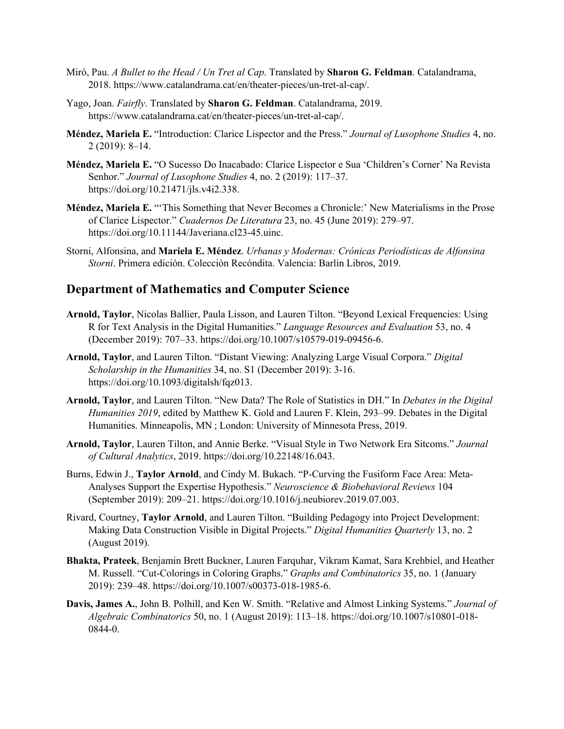- Miró, Pau. *A Bullet to the Head / Un Tret al Cap*. Translated by **Sharon G. Feldman**. Catalandrama, 2018. https://www.catalandrama.cat/en/theater-pieces/un-tret-al-cap/.
- Yago, Joan. *Fairfly*. Translated by **Sharon G. Feldman**. Catalandrama, 2019. https://www.catalandrama.cat/en/theater-pieces/un-tret-al-cap/.
- **Méndez, Mariela E.** "Introduction: Clarice Lispector and the Press." *Journal of Lusophone Studies* 4, no. 2 (2019): 8–14.
- **Méndez, Mariela E.** "O Sucesso Do Inacabado: Clarice Lispector e Sua 'Children's Corner' Na Revista Senhor." *Journal of Lusophone Studies* 4, no. 2 (2019): 117–37. https://doi.org/10.21471/jls.v4i2.338.
- **Méndez, Mariela E.** "'This Something that Never Becomes a Chronicle:' New Materialisms in the Prose of Clarice Lispector." *Cuadernos De Literatura* 23, no. 45 (June 2019): 279–97. https://doi.org/10.11144/Javeriana.cl23-45.uinc.
- Storni, Alfonsina, and **Mariela E. Méndez**. *Urbanas y Modernas: Crónicas Periodísticas de Alfonsina Storni*. Primera edición. Colección Recóndita. Valencia: Barlin Libros, 2019.

### **Department of Mathematics and Computer Science**

- **Arnold, Taylor**, Nicolas Ballier, Paula Lisson, and Lauren Tilton. "Beyond Lexical Frequencies: Using R for Text Analysis in the Digital Humanities." *Language Resources and Evaluation* 53, no. 4 (December 2019): 707–33. https://doi.org/10.1007/s10579-019-09456-6.
- **Arnold, Taylor**, and Lauren Tilton. "Distant Viewing: Analyzing Large Visual Corpora." *Digital Scholarship in the Humanities* 34, no. S1 (December 2019): 3-16. https://doi.org/10.1093/digitalsh/fqz013.
- **Arnold, Taylor**, and Lauren Tilton. "New Data? The Role of Statistics in DH." In *Debates in the Digital Humanities 2019*, edited by Matthew K. Gold and Lauren F. Klein, 293–99. Debates in the Digital Humanities. Minneapolis, MN ; London: University of Minnesota Press, 2019.
- **Arnold, Taylor**, Lauren Tilton, and Annie Berke. "Visual Style in Two Network Era Sitcoms." *Journal of Cultural Analytics*, 2019. https://doi.org/10.22148/16.043.
- Burns, Edwin J., **Taylor Arnold**, and Cindy M. Bukach. "P-Curving the Fusiform Face Area: Meta-Analyses Support the Expertise Hypothesis." *Neuroscience & Biobehavioral Reviews* 104 (September 2019): 209–21. https://doi.org/10.1016/j.neubiorev.2019.07.003.
- Rivard, Courtney, **Taylor Arnold**, and Lauren Tilton. "Building Pedagogy into Project Development: Making Data Construction Visible in Digital Projects." *Digital Humanities Quarterly* 13, no. 2 (August 2019).
- **Bhakta, Prateek**, Benjamin Brett Buckner, Lauren Farquhar, Vikram Kamat, Sara Krehbiel, and Heather M. Russell. "Cut-Colorings in Coloring Graphs." *Graphs and Combinatorics* 35, no. 1 (January 2019): 239–48. https://doi.org/10.1007/s00373-018-1985-6.
- **Davis, James A.**, John B. Polhill, and Ken W. Smith. "Relative and Almost Linking Systems." *Journal of Algebraic Combinatorics* 50, no. 1 (August 2019): 113–18. https://doi.org/10.1007/s10801-018- 0844-0.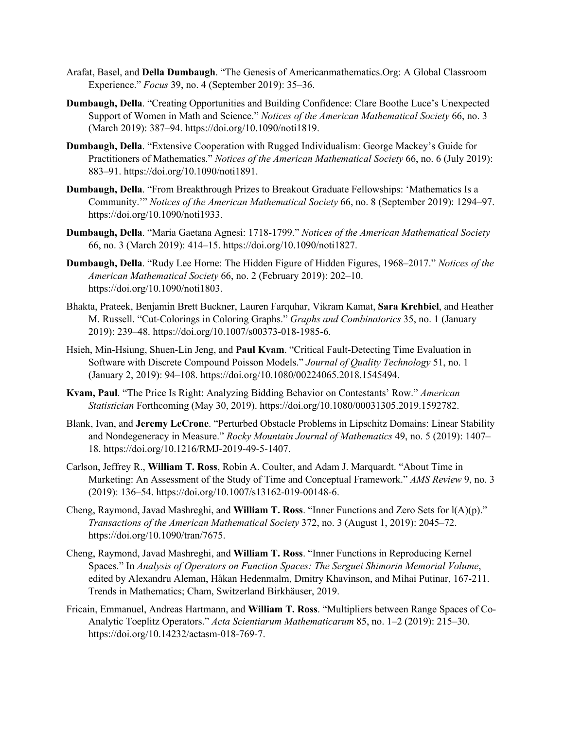- Arafat, Basel, and **Della Dumbaugh**. "The Genesis of Americanmathematics.Org: A Global Classroom Experience." *Focus* 39, no. 4 (September 2019): 35–36.
- **Dumbaugh, Della**. "Creating Opportunities and Building Confidence: Clare Boothe Luce's Unexpected Support of Women in Math and Science." *Notices of the American Mathematical Society* 66, no. 3 (March 2019): 387–94. https://doi.org/10.1090/noti1819.
- **Dumbaugh, Della**. "Extensive Cooperation with Rugged Individualism: George Mackey's Guide for Practitioners of Mathematics." *Notices of the American Mathematical Society* 66, no. 6 (July 2019): 883–91. https://doi.org/10.1090/noti1891.
- **Dumbaugh, Della**. "From Breakthrough Prizes to Breakout Graduate Fellowships: 'Mathematics Is a Community.'" *Notices of the American Mathematical Society* 66, no. 8 (September 2019): 1294–97. https://doi.org/10.1090/noti1933.
- **Dumbaugh, Della**. "Maria Gaetana Agnesi: 1718-1799." *Notices of the American Mathematical Society* 66, no. 3 (March 2019): 414–15. https://doi.org/10.1090/noti1827.
- **Dumbaugh, Della**. "Rudy Lee Horne: The Hidden Figure of Hidden Figures, 1968–2017." *Notices of the American Mathematical Society* 66, no. 2 (February 2019): 202–10. https://doi.org/10.1090/noti1803.
- Bhakta, Prateek, Benjamin Brett Buckner, Lauren Farquhar, Vikram Kamat, **Sara Krehbiel**, and Heather M. Russell. "Cut-Colorings in Coloring Graphs." *Graphs and Combinatorics* 35, no. 1 (January 2019): 239–48. https://doi.org/10.1007/s00373-018-1985-6.
- Hsieh, Min-Hsiung, Shuen-Lin Jeng, and **Paul Kvam**. "Critical Fault-Detecting Time Evaluation in Software with Discrete Compound Poisson Models." *Journal of Quality Technology* 51, no. 1 (January 2, 2019): 94–108. https://doi.org/10.1080/00224065.2018.1545494.
- **Kvam, Paul**. "The Price Is Right: Analyzing Bidding Behavior on Contestants' Row." *American Statistician* Forthcoming (May 30, 2019). https://doi.org/10.1080/00031305.2019.1592782.
- Blank, Ivan, and **Jeremy LeCrone**. "Perturbed Obstacle Problems in Lipschitz Domains: Linear Stability and Nondegeneracy in Measure." *Rocky Mountain Journal of Mathematics* 49, no. 5 (2019): 1407– 18. https://doi.org/10.1216/RMJ-2019-49-5-1407.
- Carlson, Jeffrey R., **William T. Ross**, Robin A. Coulter, and Adam J. Marquardt. "About Time in Marketing: An Assessment of the Study of Time and Conceptual Framework." *AMS Review* 9, no. 3 (2019): 136–54. https://doi.org/10.1007/s13162-019-00148-6.
- Cheng, Raymond, Javad Mashreghi, and **William T. Ross**. "Inner Functions and Zero Sets for l(A)(p)." *Transactions of the American Mathematical Society* 372, no. 3 (August 1, 2019): 2045–72. https://doi.org/10.1090/tran/7675.
- Cheng, Raymond, Javad Mashreghi, and **William T. Ross**. "Inner Functions in Reproducing Kernel Spaces." In *Analysis of Operators on Function Spaces: The Serguei Shimorin Memorial Volume*, edited by Alexandru Aleman, Håkan Hedenmalm, Dmitry Khavinson, and Mihai Putinar, 167-211. Trends in Mathematics; Cham, Switzerland Birkhäuser, 2019.
- Fricain, Emmanuel, Andreas Hartmann, and **William T. Ross**. "Multipliers between Range Spaces of Co-Analytic Toeplitz Operators." *Acta Scientiarum Mathematicarum* 85, no. 1–2 (2019): 215–30. https://doi.org/10.14232/actasm-018-769-7.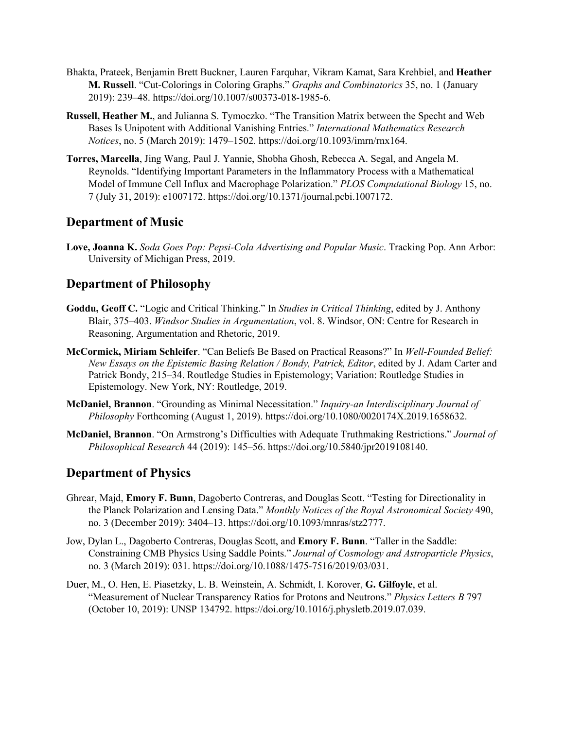- Bhakta, Prateek, Benjamin Brett Buckner, Lauren Farquhar, Vikram Kamat, Sara Krehbiel, and **Heather M. Russell**. "Cut-Colorings in Coloring Graphs." *Graphs and Combinatorics* 35, no. 1 (January 2019): 239–48. https://doi.org/10.1007/s00373-018-1985-6.
- **Russell, Heather M.**, and Julianna S. Tymoczko. "The Transition Matrix between the Specht and Web Bases Is Unipotent with Additional Vanishing Entries." *International Mathematics Research Notices*, no. 5 (March 2019): 1479–1502. https://doi.org/10.1093/imrn/rnx164.
- **Torres, Marcella**, Jing Wang, Paul J. Yannie, Shobha Ghosh, Rebecca A. Segal, and Angela M. Reynolds. "Identifying Important Parameters in the Inflammatory Process with a Mathematical Model of Immune Cell Influx and Macrophage Polarization." *PLOS Computational Biology* 15, no. 7 (July 31, 2019): e1007172. https://doi.org/10.1371/journal.pcbi.1007172.

## **Department of Music**

**Love, Joanna K.** *Soda Goes Pop: Pepsi-Cola Advertising and Popular Music*. Tracking Pop. Ann Arbor: University of Michigan Press, 2019.

## **Department of Philosophy**

- **Goddu, Geoff C.** "Logic and Critical Thinking." In *Studies in Critical Thinking*, edited by J. Anthony Blair, 375–403. *Windsor Studies in Argumentation*, vol. 8. Windsor, ON: Centre for Research in Reasoning, Argumentation and Rhetoric, 2019.
- **McCormick, Miriam Schleifer**. "Can Beliefs Be Based on Practical Reasons?" In *Well-Founded Belief: New Essays on the Epistemic Basing Relation / Bondy, Patrick, Editor*, edited by J. Adam Carter and Patrick Bondy, 215–34. Routledge Studies in Epistemology; Variation: Routledge Studies in Epistemology. New York, NY: Routledge, 2019.
- **McDaniel, Brannon**. "Grounding as Minimal Necessitation." *Inquiry-an Interdisciplinary Journal of Philosophy* Forthcoming (August 1, 2019). https://doi.org/10.1080/0020174X.2019.1658632.
- **McDaniel, Brannon**. "On Armstrong's Difficulties with Adequate Truthmaking Restrictions." *Journal of Philosophical Research* 44 (2019): 145–56. https://doi.org/10.5840/jpr2019108140.

## **Department of Physics**

- Ghrear, Majd, **Emory F. Bunn**, Dagoberto Contreras, and Douglas Scott. "Testing for Directionality in the Planck Polarization and Lensing Data." *Monthly Notices of the Royal Astronomical Society* 490, no. 3 (December 2019): 3404–13. https://doi.org/10.1093/mnras/stz2777.
- Jow, Dylan L., Dagoberto Contreras, Douglas Scott, and **Emory F. Bunn**. "Taller in the Saddle: Constraining CMB Physics Using Saddle Points." *Journal of Cosmology and Astroparticle Physics*, no. 3 (March 2019): 031. https://doi.org/10.1088/1475-7516/2019/03/031.
- Duer, M., O. Hen, E. Piasetzky, L. B. Weinstein, A. Schmidt, I. Korover, **G. Gilfoyle**, et al. "Measurement of Nuclear Transparency Ratios for Protons and Neutrons." *Physics Letters B* 797 (October 10, 2019): UNSP 134792. https://doi.org/10.1016/j.physletb.2019.07.039.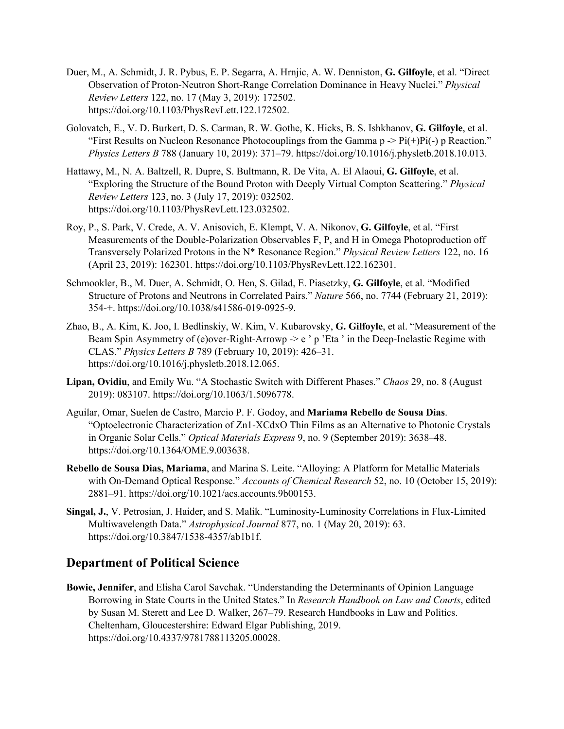- Duer, M., A. Schmidt, J. R. Pybus, E. P. Segarra, A. Hrnjic, A. W. Denniston, **G. Gilfoyle**, et al. "Direct Observation of Proton-Neutron Short-Range Correlation Dominance in Heavy Nuclei." *Physical Review Letters* 122, no. 17 (May 3, 2019): 172502. https://doi.org/10.1103/PhysRevLett.122.172502.
- Golovatch, E., V. D. Burkert, D. S. Carman, R. W. Gothe, K. Hicks, B. S. Ishkhanov, **G. Gilfoyle**, et al. "First Results on Nucleon Resonance Photocouplings from the Gamma  $p \rightarrow P_i(f)P_i(-) p$  Reaction." *Physics Letters B* 788 (January 10, 2019): 371–79. https://doi.org/10.1016/j.physletb.2018.10.013.
- Hattawy, M., N. A. Baltzell, R. Dupre, S. Bultmann, R. De Vita, A. El Alaoui, **G. Gilfoyle**, et al. "Exploring the Structure of the Bound Proton with Deeply Virtual Compton Scattering." *Physical Review Letters* 123, no. 3 (July 17, 2019): 032502. https://doi.org/10.1103/PhysRevLett.123.032502.
- Roy, P., S. Park, V. Crede, A. V. Anisovich, E. Klempt, V. A. Nikonov, **G. Gilfoyle**, et al. "First Measurements of the Double-Polarization Observables F, P, and H in Omega Photoproduction off Transversely Polarized Protons in the N\* Resonance Region." *Physical Review Letters* 122, no. 16 (April 23, 2019): 162301. https://doi.org/10.1103/PhysRevLett.122.162301.
- Schmookler, B., M. Duer, A. Schmidt, O. Hen, S. Gilad, E. Piasetzky, **G. Gilfoyle**, et al. "Modified Structure of Protons and Neutrons in Correlated Pairs." *Nature* 566, no. 7744 (February 21, 2019): 354-+. https://doi.org/10.1038/s41586-019-0925-9.
- Zhao, B., A. Kim, K. Joo, I. Bedlinskiy, W. Kim, V. Kubarovsky, **G. Gilfoyle**, et al. "Measurement of the Beam Spin Asymmetry of (e)over-Right-Arrowp -> e ' p 'Eta ' in the Deep-Inelastic Regime with CLAS." *Physics Letters B* 789 (February 10, 2019): 426–31. https://doi.org/10.1016/j.physletb.2018.12.065.
- **Lipan, Ovidiu**, and Emily Wu. "A Stochastic Switch with Different Phases." *Chaos* 29, no. 8 (August 2019): 083107. https://doi.org/10.1063/1.5096778.
- Aguilar, Omar, Suelen de Castro, Marcio P. F. Godoy, and **Mariama Rebello de Sousa Dias**. "Optoelectronic Characterization of Zn1-XCdxO Thin Films as an Alternative to Photonic Crystals in Organic Solar Cells." *Optical Materials Express* 9, no. 9 (September 2019): 3638–48. https://doi.org/10.1364/OME.9.003638.
- **Rebello de Sousa Dias, Mariama**, and Marina S. Leite. "Alloying: A Platform for Metallic Materials with On-Demand Optical Response." *Accounts of Chemical Research* 52, no. 10 (October 15, 2019): 2881–91. https://doi.org/10.1021/acs.accounts.9b00153.
- **Singal, J.**, V. Petrosian, J. Haider, and S. Malik. "Luminosity-Luminosity Correlations in Flux-Limited Multiwavelength Data." *Astrophysical Journal* 877, no. 1 (May 20, 2019): 63. https://doi.org/10.3847/1538-4357/ab1b1f.

## **Department of Political Science**

**Bowie, Jennifer**, and Elisha Carol Savchak. "Understanding the Determinants of Opinion Language Borrowing in State Courts in the United States." In *Research Handbook on Law and Courts*, edited by Susan M. Sterett and Lee D. Walker, 267–79. Research Handbooks in Law and Politics. Cheltenham, Gloucestershire: Edward Elgar Publishing, 2019. https://doi.org/10.4337/9781788113205.00028.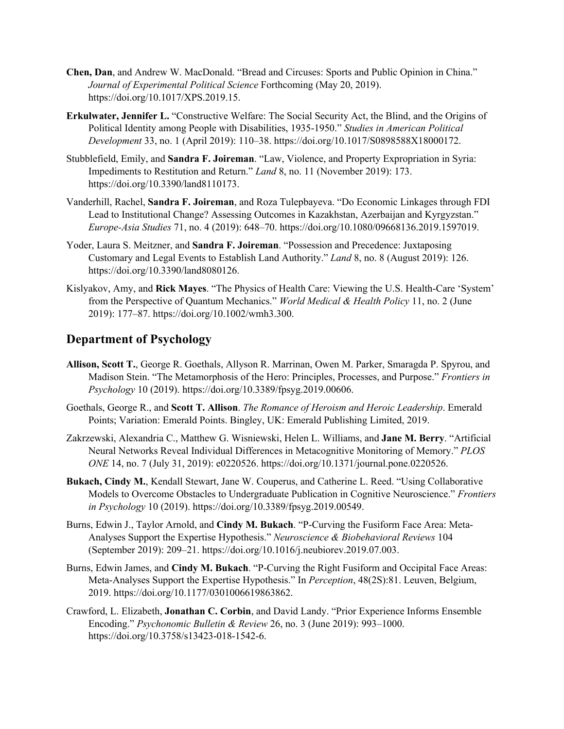- **Chen, Dan**, and Andrew W. MacDonald. "Bread and Circuses: Sports and Public Opinion in China." *Journal of Experimental Political Science* Forthcoming (May 20, 2019). https://doi.org/10.1017/XPS.2019.15.
- **Erkulwater, Jennifer L.** "Constructive Welfare: The Social Security Act, the Blind, and the Origins of Political Identity among People with Disabilities, 1935-1950." *Studies in American Political Development* 33, no. 1 (April 2019): 110–38. https://doi.org/10.1017/S0898588X18000172.
- Stubblefield, Emily, and **Sandra F. Joireman**. "Law, Violence, and Property Expropriation in Syria: Impediments to Restitution and Return." *Land* 8, no. 11 (November 2019): 173. https://doi.org/10.3390/land8110173.
- Vanderhill, Rachel, **Sandra F. Joireman**, and Roza Tulepbayeva. "Do Economic Linkages through FDI Lead to Institutional Change? Assessing Outcomes in Kazakhstan, Azerbaijan and Kyrgyzstan." *Europe-Asia Studies* 71, no. 4 (2019): 648–70. https://doi.org/10.1080/09668136.2019.1597019.
- Yoder, Laura S. Meitzner, and **Sandra F. Joireman**. "Possession and Precedence: Juxtaposing Customary and Legal Events to Establish Land Authority." *Land* 8, no. 8 (August 2019): 126. https://doi.org/10.3390/land8080126.
- Kislyakov, Amy, and **Rick Mayes**. "The Physics of Health Care: Viewing the U.S. Health-Care 'System' from the Perspective of Quantum Mechanics." *World Medical & Health Policy* 11, no. 2 (June 2019): 177–87. https://doi.org/10.1002/wmh3.300.

## **Department of Psychology**

- **Allison, Scott T.**, George R. Goethals, Allyson R. Marrinan, Owen M. Parker, Smaragda P. Spyrou, and Madison Stein. "The Metamorphosis of the Hero: Principles, Processes, and Purpose." *Frontiers in Psychology* 10 (2019). https://doi.org/10.3389/fpsyg.2019.00606.
- Goethals, George R., and **Scott T. Allison**. *The Romance of Heroism and Heroic Leadership*. Emerald Points; Variation: Emerald Points. Bingley, UK: Emerald Publishing Limited, 2019.
- Zakrzewski, Alexandria C., Matthew G. Wisniewski, Helen L. Williams, and **Jane M. Berry**. "Artificial Neural Networks Reveal Individual Differences in Metacognitive Monitoring of Memory." *PLOS ONE* 14, no. 7 (July 31, 2019): e0220526. https://doi.org/10.1371/journal.pone.0220526.
- **Bukach, Cindy M.**, Kendall Stewart, Jane W. Couperus, and Catherine L. Reed. "Using Collaborative Models to Overcome Obstacles to Undergraduate Publication in Cognitive Neuroscience." *Frontiers in Psychology* 10 (2019). https://doi.org/10.3389/fpsyg.2019.00549.
- Burns, Edwin J., Taylor Arnold, and **Cindy M. Bukach**. "P-Curving the Fusiform Face Area: Meta-Analyses Support the Expertise Hypothesis." *Neuroscience & Biobehavioral Reviews* 104 (September 2019): 209–21. https://doi.org/10.1016/j.neubiorev.2019.07.003.
- Burns, Edwin James, and **Cindy M. Bukach**. "P-Curving the Right Fusiform and Occipital Face Areas: Meta-Analyses Support the Expertise Hypothesis." In *Perception*, 48(2S):81. Leuven, Belgium, 2019. https://doi.org/10.1177/0301006619863862.
- Crawford, L. Elizabeth, **Jonathan C. Corbin**, and David Landy. "Prior Experience Informs Ensemble Encoding." *Psychonomic Bulletin & Review* 26, no. 3 (June 2019): 993–1000. https://doi.org/10.3758/s13423-018-1542-6.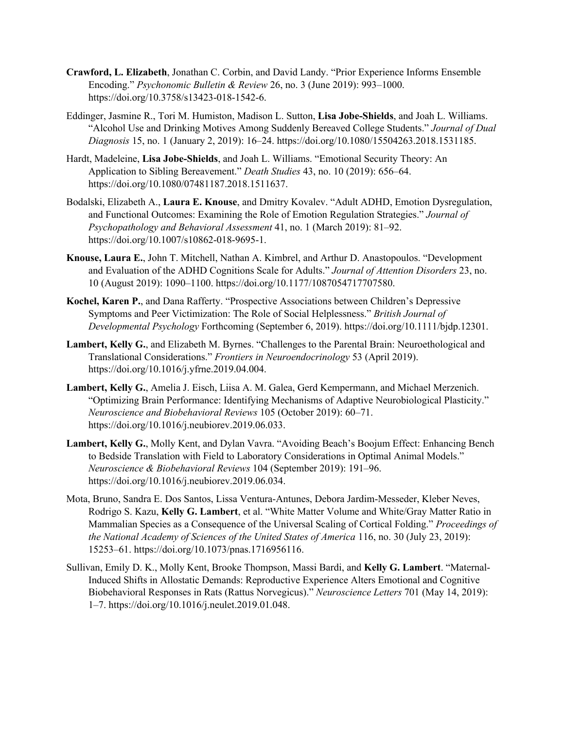- **Crawford, L. Elizabeth**, Jonathan C. Corbin, and David Landy. "Prior Experience Informs Ensemble Encoding." *Psychonomic Bulletin & Review* 26, no. 3 (June 2019): 993–1000. https://doi.org/10.3758/s13423-018-1542-6.
- Eddinger, Jasmine R., Tori M. Humiston, Madison L. Sutton, **Lisa Jobe-Shields**, and Joah L. Williams. "Alcohol Use and Drinking Motives Among Suddenly Bereaved College Students." *Journal of Dual Diagnosis* 15, no. 1 (January 2, 2019): 16–24. https://doi.org/10.1080/15504263.2018.1531185.
- Hardt, Madeleine, **Lisa Jobe-Shields**, and Joah L. Williams. "Emotional Security Theory: An Application to Sibling Bereavement." *Death Studies* 43, no. 10 (2019): 656–64. https://doi.org/10.1080/07481187.2018.1511637.
- Bodalski, Elizabeth A., **Laura E. Knouse**, and Dmitry Kovalev. "Adult ADHD, Emotion Dysregulation, and Functional Outcomes: Examining the Role of Emotion Regulation Strategies." *Journal of Psychopathology and Behavioral Assessment* 41, no. 1 (March 2019): 81–92. https://doi.org/10.1007/s10862-018-9695-1.
- **Knouse, Laura E.**, John T. Mitchell, Nathan A. Kimbrel, and Arthur D. Anastopoulos. "Development and Evaluation of the ADHD Cognitions Scale for Adults." *Journal of Attention Disorders* 23, no. 10 (August 2019): 1090–1100. https://doi.org/10.1177/1087054717707580.
- **Kochel, Karen P.**, and Dana Rafferty. "Prospective Associations between Children's Depressive Symptoms and Peer Victimization: The Role of Social Helplessness." *British Journal of Developmental Psychology* Forthcoming (September 6, 2019). https://doi.org/10.1111/bjdp.12301.
- **Lambert, Kelly G.**, and Elizabeth M. Byrnes. "Challenges to the Parental Brain: Neuroethological and Translational Considerations." *Frontiers in Neuroendocrinology* 53 (April 2019). https://doi.org/10.1016/j.yfrne.2019.04.004.
- **Lambert, Kelly G.**, Amelia J. Eisch, Liisa A. M. Galea, Gerd Kempermann, and Michael Merzenich. "Optimizing Brain Performance: Identifying Mechanisms of Adaptive Neurobiological Plasticity." *Neuroscience and Biobehavioral Reviews* 105 (October 2019): 60–71. https://doi.org/10.1016/j.neubiorev.2019.06.033.
- **Lambert, Kelly G.**, Molly Kent, and Dylan Vavra. "Avoiding Beach's Boojum Effect: Enhancing Bench to Bedside Translation with Field to Laboratory Considerations in Optimal Animal Models." *Neuroscience & Biobehavioral Reviews* 104 (September 2019): 191–96. https://doi.org/10.1016/j.neubiorev.2019.06.034.
- Mota, Bruno, Sandra E. Dos Santos, Lissa Ventura-Antunes, Debora Jardim-Messeder, Kleber Neves, Rodrigo S. Kazu, **Kelly G. Lambert**, et al. "White Matter Volume and White/Gray Matter Ratio in Mammalian Species as a Consequence of the Universal Scaling of Cortical Folding." *Proceedings of the National Academy of Sciences of the United States of America* 116, no. 30 (July 23, 2019): 15253–61. https://doi.org/10.1073/pnas.1716956116.
- Sullivan, Emily D. K., Molly Kent, Brooke Thompson, Massi Bardi, and **Kelly G. Lambert**. "Maternal-Induced Shifts in Allostatic Demands: Reproductive Experience Alters Emotional and Cognitive Biobehavioral Responses in Rats (Rattus Norvegicus)." *Neuroscience Letters* 701 (May 14, 2019): 1–7. https://doi.org/10.1016/j.neulet.2019.01.048.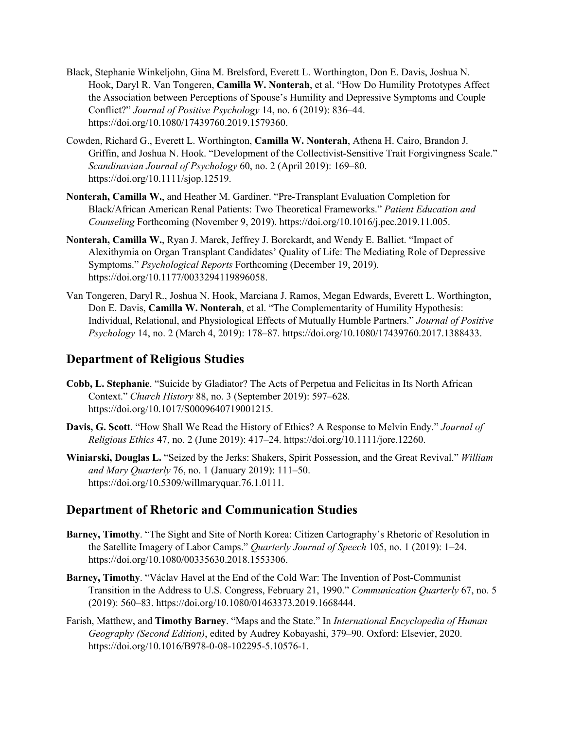- Black, Stephanie Winkeljohn, Gina M. Brelsford, Everett L. Worthington, Don E. Davis, Joshua N. Hook, Daryl R. Van Tongeren, **Camilla W. Nonterah**, et al. "How Do Humility Prototypes Affect the Association between Perceptions of Spouse's Humility and Depressive Symptoms and Couple Conflict?" *Journal of Positive Psychology* 14, no. 6 (2019): 836–44. https://doi.org/10.1080/17439760.2019.1579360.
- Cowden, Richard G., Everett L. Worthington, **Camilla W. Nonterah**, Athena H. Cairo, Brandon J. Griffin, and Joshua N. Hook. "Development of the Collectivist-Sensitive Trait Forgivingness Scale." *Scandinavian Journal of Psychology* 60, no. 2 (April 2019): 169–80. https://doi.org/10.1111/sjop.12519.
- **Nonterah, Camilla W.**, and Heather M. Gardiner. "Pre-Transplant Evaluation Completion for Black/African American Renal Patients: Two Theoretical Frameworks." *Patient Education and Counseling* Forthcoming (November 9, 2019). https://doi.org/10.1016/j.pec.2019.11.005.
- **Nonterah, Camilla W.**, Ryan J. Marek, Jeffrey J. Borckardt, and Wendy E. Balliet. "Impact of Alexithymia on Organ Transplant Candidates' Quality of Life: The Mediating Role of Depressive Symptoms." *Psychological Reports* Forthcoming (December 19, 2019). https://doi.org/10.1177/0033294119896058.
- Van Tongeren, Daryl R., Joshua N. Hook, Marciana J. Ramos, Megan Edwards, Everett L. Worthington, Don E. Davis, **Camilla W. Nonterah**, et al. "The Complementarity of Humility Hypothesis: Individual, Relational, and Physiological Effects of Mutually Humble Partners." *Journal of Positive Psychology* 14, no. 2 (March 4, 2019): 178–87. https://doi.org/10.1080/17439760.2017.1388433.

## **Department of Religious Studies**

- **Cobb, L. Stephanie**. "Suicide by Gladiator? The Acts of Perpetua and Felicitas in Its North African Context." *Church History* 88, no. 3 (September 2019): 597–628. https://doi.org/10.1017/S0009640719001215.
- **Davis, G. Scott**. "How Shall We Read the History of Ethics? A Response to Melvin Endy." *Journal of Religious Ethics* 47, no. 2 (June 2019): 417–24. https://doi.org/10.1111/jore.12260.
- **Winiarski, Douglas L.** "Seized by the Jerks: Shakers, Spirit Possession, and the Great Revival." *William and Mary Quarterly* 76, no. 1 (January 2019): 111–50. https://doi.org/10.5309/willmaryquar.76.1.0111.

## **Department of Rhetoric and Communication Studies**

- **Barney, Timothy**. "The Sight and Site of North Korea: Citizen Cartography's Rhetoric of Resolution in the Satellite Imagery of Labor Camps." *Quarterly Journal of Speech* 105, no. 1 (2019): 1–24. https://doi.org/10.1080/00335630.2018.1553306.
- **Barney, Timothy**. "Václav Havel at the End of the Cold War: The Invention of Post-Communist Transition in the Address to U.S. Congress, February 21, 1990." *Communication Quarterly* 67, no. 5 (2019): 560–83. https://doi.org/10.1080/01463373.2019.1668444.
- Farish, Matthew, and **Timothy Barney**. "Maps and the State." In *International Encyclopedia of Human Geography (Second Edition)*, edited by Audrey Kobayashi, 379–90. Oxford: Elsevier, 2020. https://doi.org/10.1016/B978-0-08-102295-5.10576-1.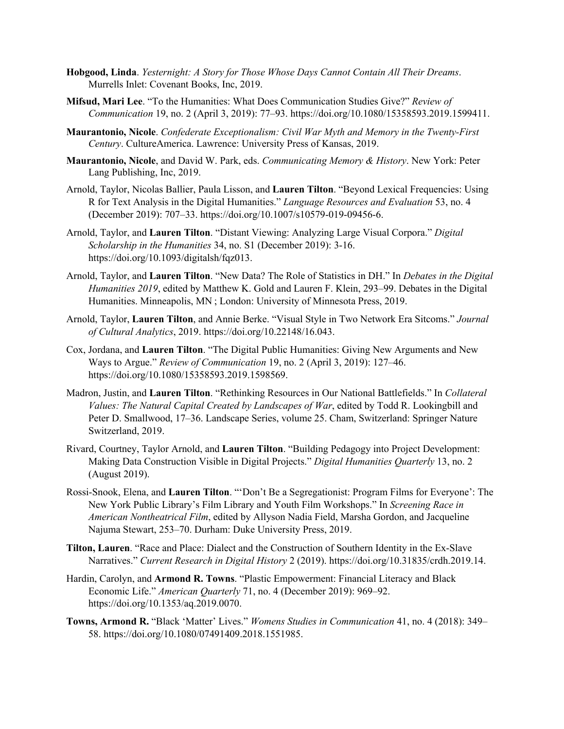- **Hobgood, Linda**. *Yesternight: A Story for Those Whose Days Cannot Contain All Their Dreams*. Murrells Inlet: Covenant Books, Inc, 2019.
- **Mifsud, Mari Lee**. "To the Humanities: What Does Communication Studies Give?" *Review of Communication* 19, no. 2 (April 3, 2019): 77–93. https://doi.org/10.1080/15358593.2019.1599411.
- **Maurantonio, Nicole**. *Confederate Exceptionalism: Civil War Myth and Memory in the Twenty-First Century*. CultureAmerica. Lawrence: University Press of Kansas, 2019.
- **Maurantonio, Nicole**, and David W. Park, eds. *Communicating Memory & History*. New York: Peter Lang Publishing, Inc, 2019.
- Arnold, Taylor, Nicolas Ballier, Paula Lisson, and **Lauren Tilton**. "Beyond Lexical Frequencies: Using R for Text Analysis in the Digital Humanities." *Language Resources and Evaluation* 53, no. 4 (December 2019): 707–33. https://doi.org/10.1007/s10579-019-09456-6.
- Arnold, Taylor, and **Lauren Tilton**. "Distant Viewing: Analyzing Large Visual Corpora." *Digital Scholarship in the Humanities* 34, no. S1 (December 2019): 3-16. https://doi.org/10.1093/digitalsh/fqz013.
- Arnold, Taylor, and **Lauren Tilton**. "New Data? The Role of Statistics in DH." In *Debates in the Digital Humanities 2019*, edited by Matthew K. Gold and Lauren F. Klein, 293–99. Debates in the Digital Humanities. Minneapolis, MN ; London: University of Minnesota Press, 2019.
- Arnold, Taylor, **Lauren Tilton**, and Annie Berke. "Visual Style in Two Network Era Sitcoms." *Journal of Cultural Analytics*, 2019. https://doi.org/10.22148/16.043.
- Cox, Jordana, and **Lauren Tilton**. "The Digital Public Humanities: Giving New Arguments and New Ways to Argue." *Review of Communication* 19, no. 2 (April 3, 2019): 127–46. https://doi.org/10.1080/15358593.2019.1598569.
- Madron, Justin, and **Lauren Tilton**. "Rethinking Resources in Our National Battlefields." In *Collateral Values: The Natural Capital Created by Landscapes of War*, edited by Todd R. Lookingbill and Peter D. Smallwood, 17–36. Landscape Series, volume 25. Cham, Switzerland: Springer Nature Switzerland, 2019.
- Rivard, Courtney, Taylor Arnold, and **Lauren Tilton**. "Building Pedagogy into Project Development: Making Data Construction Visible in Digital Projects." *Digital Humanities Quarterly* 13, no. 2 (August 2019).
- Rossi-Snook, Elena, and **Lauren Tilton**. "'Don't Be a Segregationist: Program Films for Everyone': The New York Public Library's Film Library and Youth Film Workshops." In *Screening Race in American Nontheatrical Film*, edited by Allyson Nadia Field, Marsha Gordon, and Jacqueline Najuma Stewart, 253–70. Durham: Duke University Press, 2019.
- **Tilton, Lauren**. "Race and Place: Dialect and the Construction of Southern Identity in the Ex-Slave Narratives." *Current Research in Digital History* 2 (2019). https://doi.org/10.31835/crdh.2019.14.
- Hardin, Carolyn, and **Armond R. Towns**. "Plastic Empowerment: Financial Literacy and Black Economic Life." *American Quarterly* 71, no. 4 (December 2019): 969–92. https://doi.org/10.1353/aq.2019.0070.
- **Towns, Armond R.** "Black 'Matter' Lives." *Womens Studies in Communication* 41, no. 4 (2018): 349– 58. https://doi.org/10.1080/07491409.2018.1551985.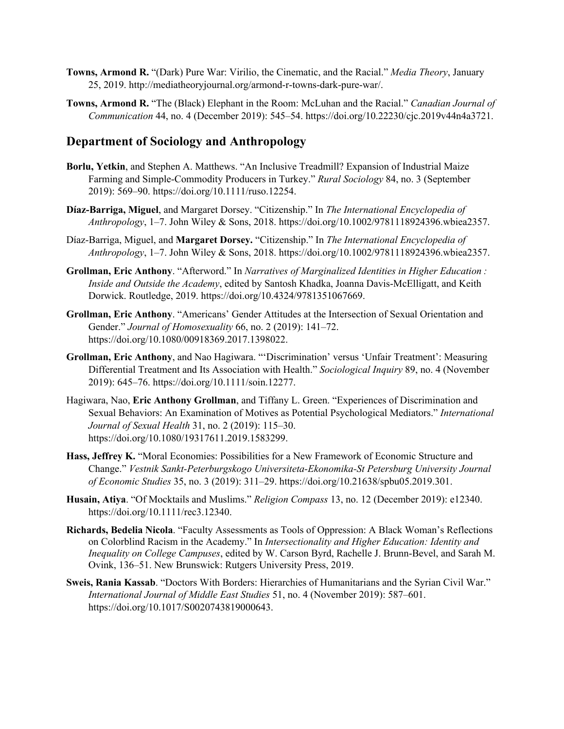- **Towns, Armond R.** "(Dark) Pure War: Virilio, the Cinematic, and the Racial." *Media Theory*, January 25, 2019. http://mediatheoryjournal.org/armond-r-towns-dark-pure-war/.
- **Towns, Armond R.** "The (Black) Elephant in the Room: McLuhan and the Racial." *Canadian Journal of Communication* 44, no. 4 (December 2019): 545–54. https://doi.org/10.22230/cjc.2019v44n4a3721.

## **Department of Sociology and Anthropology**

- **Borlu, Yetkin**, and Stephen A. Matthews. "An Inclusive Treadmill? Expansion of Industrial Maize Farming and Simple-Commodity Producers in Turkey." *Rural Sociology* 84, no. 3 (September 2019): 569–90. https://doi.org/10.1111/ruso.12254.
- **Díaz‐Barriga, Miguel**, and Margaret Dorsey. "Citizenship." In *The International Encyclopedia of Anthropology*, 1–7. John Wiley & Sons, 2018. https://doi.org/10.1002/9781118924396.wbiea2357.
- Díaz‐Barriga, Miguel, and **Margaret Dorsey.** "Citizenship." In *The International Encyclopedia of Anthropology*, 1–7. John Wiley & Sons, 2018. https://doi.org/10.1002/9781118924396.wbiea2357.
- **Grollman, Eric Anthony**. "Afterword." In *Narratives of Marginalized Identities in Higher Education : Inside and Outside the Academy*, edited by Santosh Khadka, Joanna Davis-McElligatt, and Keith Dorwick. Routledge, 2019. https://doi.org/10.4324/9781351067669.
- **Grollman, Eric Anthony**. "Americans' Gender Attitudes at the Intersection of Sexual Orientation and Gender." *Journal of Homosexuality* 66, no. 2 (2019): 141–72. https://doi.org/10.1080/00918369.2017.1398022.
- **Grollman, Eric Anthony**, and Nao Hagiwara. "'Discrimination' versus 'Unfair Treatment': Measuring Differential Treatment and Its Association with Health." *Sociological Inquiry* 89, no. 4 (November 2019): 645–76. https://doi.org/10.1111/soin.12277.
- Hagiwara, Nao, **Eric Anthony Grollman**, and Tiffany L. Green. "Experiences of Discrimination and Sexual Behaviors: An Examination of Motives as Potential Psychological Mediators." *International Journal of Sexual Health* 31, no. 2 (2019): 115–30. https://doi.org/10.1080/19317611.2019.1583299.
- **Hass, Jeffrey K.** "Moral Economies: Possibilities for a New Framework of Economic Structure and Change." *Vestnik Sankt-Peterburgskogo Universiteta-Ekonomika-St Petersburg University Journal of Economic Studies* 35, no. 3 (2019): 311–29. https://doi.org/10.21638/spbu05.2019.301.
- **Husain, Atiya**. "Of Mocktails and Muslims." *Religion Compass* 13, no. 12 (December 2019): e12340. https://doi.org/10.1111/rec3.12340.
- **Richards, Bedelia Nicola**. "Faculty Assessments as Tools of Oppression: A Black Woman's Reflections on Colorblind Racism in the Academy." In *Intersectionality and Higher Education: Identity and Inequality on College Campuses*, edited by W. Carson Byrd, Rachelle J. Brunn-Bevel, and Sarah M. Ovink, 136–51. New Brunswick: Rutgers University Press, 2019.
- **Sweis, Rania Kassab**. "Doctors With Borders: Hierarchies of Humanitarians and the Syrian Civil War." *International Journal of Middle East Studies* 51, no. 4 (November 2019): 587–601. https://doi.org/10.1017/S0020743819000643.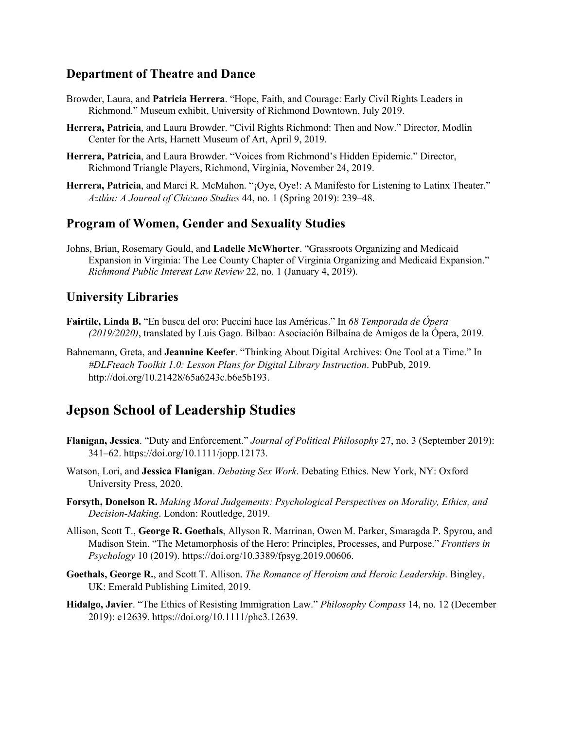## **Department of Theatre and Dance**

- Browder, Laura, and **Patricia Herrera**. "Hope, Faith, and Courage: Early Civil Rights Leaders in Richmond." Museum exhibit, University of Richmond Downtown, July 2019.
- **Herrera, Patricia**, and Laura Browder. "Civil Rights Richmond: Then and Now." Director, Modlin Center for the Arts, Harnett Museum of Art, April 9, 2019.
- **Herrera, Patricia**, and Laura Browder. "Voices from Richmond's Hidden Epidemic." Director, Richmond Triangle Players, Richmond, Virginia, November 24, 2019.
- **Herrera, Patricia**, and Marci R. McMahon. "¡Oye, Oye!: A Manifesto for Listening to Latinx Theater." *Aztlán: A Journal of Chicano Studies* 44, no. 1 (Spring 2019): 239–48.

### **Program of Women, Gender and Sexuality Studies**

Johns, Brian, Rosemary Gould, and **Ladelle McWhorter**. "Grassroots Organizing and Medicaid Expansion in Virginia: The Lee County Chapter of Virginia Organizing and Medicaid Expansion." *Richmond Public Interest Law Review* 22, no. 1 (January 4, 2019).

### **University Libraries**

- **Fairtile, Linda B.** "En busca del oro: Puccini hace las Américas." In *68 Temporada de Ópera (2019/2020)*, translated by Luis Gago. Bilbao: Asociación Bilbaína de Amigos de la Ópera, 2019.
- Bahnemann, Greta, and **Jeannine Keefer**. "Thinking About Digital Archives: One Tool at a Time." In *#DLFteach Toolkit 1.0: Lesson Plans for Digital Library Instruction*. PubPub, 2019. http://doi.org/10.21428/65a6243c.b6e5b193.

## **Jepson School of Leadership Studies**

- **Flanigan, Jessica**. "Duty and Enforcement." *Journal of Political Philosophy* 27, no. 3 (September 2019): 341–62. https://doi.org/10.1111/jopp.12173.
- Watson, Lori, and **Jessica Flanigan**. *Debating Sex Work*. Debating Ethics. New York, NY: Oxford University Press, 2020.
- **Forsyth, Donelson R.** *Making Moral Judgements: Psychological Perspectives on Morality, Ethics, and Decision-Making*. London: Routledge, 2019.
- Allison, Scott T., **George R. Goethals**, Allyson R. Marrinan, Owen M. Parker, Smaragda P. Spyrou, and Madison Stein. "The Metamorphosis of the Hero: Principles, Processes, and Purpose." *Frontiers in Psychology* 10 (2019). https://doi.org/10.3389/fpsyg.2019.00606.
- **Goethals, George R.**, and Scott T. Allison. *The Romance of Heroism and Heroic Leadership*. Bingley, UK: Emerald Publishing Limited, 2019.
- **Hidalgo, Javier**. "The Ethics of Resisting Immigration Law." *Philosophy Compass* 14, no. 12 (December 2019): e12639. https://doi.org/10.1111/phc3.12639.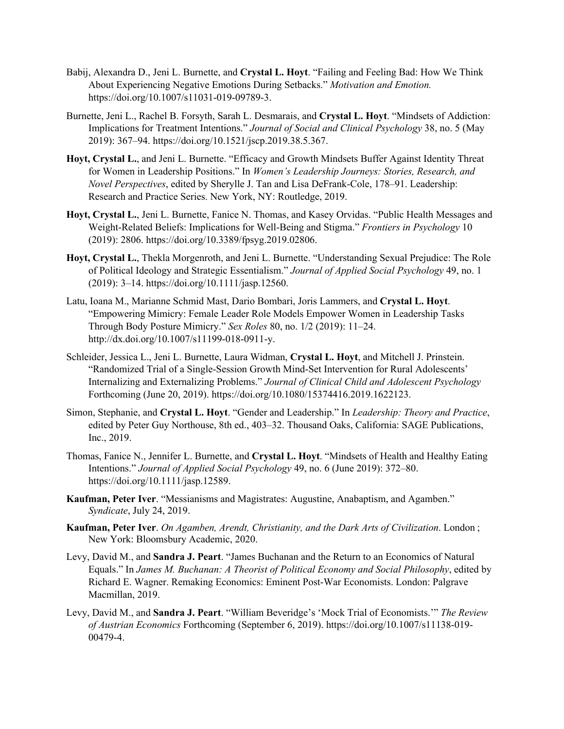- Babij, Alexandra D., Jeni L. Burnette, and **Crystal L. Hoyt**. "Failing and Feeling Bad: How We Think About Experiencing Negative Emotions During Setbacks." *Motivation and Emotion.* https://doi.org/10.1007/s11031-019-09789-3.
- Burnette, Jeni L., Rachel B. Forsyth, Sarah L. Desmarais, and **Crystal L. Hoyt**. "Mindsets of Addiction: Implications for Treatment Intentions." *Journal of Social and Clinical Psychology* 38, no. 5 (May 2019): 367–94. https://doi.org/10.1521/jscp.2019.38.5.367.
- **Hoyt, Crystal L.**, and Jeni L. Burnette. "Efficacy and Growth Mindsets Buffer Against Identity Threat for Women in Leadership Positions." In *Women's Leadership Journeys: Stories, Research, and Novel Perspectives*, edited by Sherylle J. Tan and Lisa DeFrank-Cole, 178–91. Leadership: Research and Practice Series. New York, NY: Routledge, 2019.
- **Hoyt, Crystal L.**, Jeni L. Burnette, Fanice N. Thomas, and Kasey Orvidas. "Public Health Messages and Weight-Related Beliefs: Implications for Well-Being and Stigma." *Frontiers in Psychology* 10 (2019): 2806. https://doi.org/10.3389/fpsyg.2019.02806.
- **Hoyt, Crystal L.**, Thekla Morgenroth, and Jeni L. Burnette. "Understanding Sexual Prejudice: The Role of Political Ideology and Strategic Essentialism." *Journal of Applied Social Psychology* 49, no. 1 (2019): 3–14. https://doi.org/10.1111/jasp.12560.
- Latu, Ioana M., Marianne Schmid Mast, Dario Bombari, Joris Lammers, and **Crystal L. Hoyt**. "Empowering Mimicry: Female Leader Role Models Empower Women in Leadership Tasks Through Body Posture Mimicry." *Sex Roles* 80, no. 1/2 (2019): 11–24. http://dx.doi.org/10.1007/s11199-018-0911-y.
- Schleider, Jessica L., Jeni L. Burnette, Laura Widman, **Crystal L. Hoyt**, and Mitchell J. Prinstein. "Randomized Trial of a Single-Session Growth Mind-Set Intervention for Rural Adolescents' Internalizing and Externalizing Problems." *Journal of Clinical Child and Adolescent Psychology* Forthcoming (June 20, 2019). https://doi.org/10.1080/15374416.2019.1622123.
- Simon, Stephanie, and **Crystal L. Hoyt**. "Gender and Leadership." In *Leadership: Theory and Practice*, edited by Peter Guy Northouse, 8th ed., 403–32. Thousand Oaks, California: SAGE Publications, Inc., 2019.
- Thomas, Fanice N., Jennifer L. Burnette, and **Crystal L. Hoyt**. "Mindsets of Health and Healthy Eating Intentions." *Journal of Applied Social Psychology* 49, no. 6 (June 2019): 372–80. https://doi.org/10.1111/jasp.12589.
- **Kaufman, Peter Iver**. "Messianisms and Magistrates: Augustine, Anabaptism, and Agamben." *Syndicate*, July 24, 2019.
- **Kaufman, Peter Iver**. *On Agamben, Arendt, Christianity, and the Dark Arts of Civilization*. London ; New York: Bloomsbury Academic, 2020.
- Levy, David M., and **Sandra J. Peart**. "James Buchanan and the Return to an Economics of Natural Equals." In *James M. Buchanan: A Theorist of Political Economy and Social Philosophy*, edited by Richard E. Wagner. Remaking Economics: Eminent Post-War Economists. London: Palgrave Macmillan, 2019.
- Levy, David M., and **Sandra J. Peart**. "William Beveridge's 'Mock Trial of Economists.'" *The Review of Austrian Economics* Forthcoming (September 6, 2019). https://doi.org/10.1007/s11138-019- 00479-4.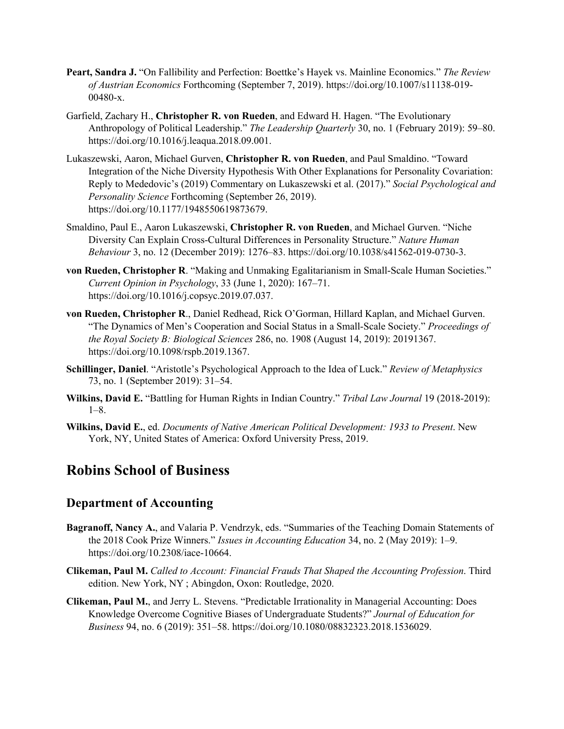- **Peart, Sandra J.** "On Fallibility and Perfection: Boettke's Hayek vs. Mainline Economics." *The Review of Austrian Economics* Forthcoming (September 7, 2019). https://doi.org/10.1007/s11138-019- 00480-x.
- Garfield, Zachary H., **Christopher R. von Rueden**, and Edward H. Hagen. "The Evolutionary Anthropology of Political Leadership." *The Leadership Quarterly* 30, no. 1 (February 2019): 59–80. https://doi.org/10.1016/j.leaqua.2018.09.001.
- Lukaszewski, Aaron, Michael Gurven, **Christopher R. von Rueden**, and Paul Smaldino. "Toward Integration of the Niche Diversity Hypothesis With Other Explanations for Personality Covariation: Reply to Mededovic's (2019) Commentary on Lukaszewski et al. (2017)." *Social Psychological and Personality Science* Forthcoming (September 26, 2019). https://doi.org/10.1177/1948550619873679.
- Smaldino, Paul E., Aaron Lukaszewski, **Christopher R. von Rueden**, and Michael Gurven. "Niche Diversity Can Explain Cross-Cultural Differences in Personality Structure." *Nature Human Behaviour* 3, no. 12 (December 2019): 1276–83. https://doi.org/10.1038/s41562-019-0730-3.
- **von Rueden, Christopher R**. "Making and Unmaking Egalitarianism in Small-Scale Human Societies." *Current Opinion in Psychology*, 33 (June 1, 2020): 167–71. https://doi.org/10.1016/j.copsyc.2019.07.037.
- **von Rueden, Christopher R**., Daniel Redhead, Rick O'Gorman, Hillard Kaplan, and Michael Gurven. "The Dynamics of Men's Cooperation and Social Status in a Small-Scale Society." *Proceedings of the Royal Society B: Biological Sciences* 286, no. 1908 (August 14, 2019): 20191367. https://doi.org/10.1098/rspb.2019.1367.
- **Schillinger, Daniel**. "Aristotle's Psychological Approach to the Idea of Luck." *Review of Metaphysics* 73, no. 1 (September 2019): 31–54.
- **Wilkins, David E.** "Battling for Human Rights in Indian Country." *Tribal Law Journal* 19 (2018-2019): 1–8.
- **Wilkins, David E.**, ed. *Documents of Native American Political Development: 1933 to Present*. New York, NY, United States of America: Oxford University Press, 2019.

## **Robins School of Business**

## **Department of Accounting**

- **Bagranoff, Nancy A.**, and Valaria P. Vendrzyk, eds. "Summaries of the Teaching Domain Statements of the 2018 Cook Prize Winners." *Issues in Accounting Education* 34, no. 2 (May 2019): 1–9. https://doi.org/10.2308/iace-10664.
- **Clikeman, Paul M.** *Called to Account: Financial Frauds That Shaped the Accounting Profession*. Third edition. New York, NY ; Abingdon, Oxon: Routledge, 2020.
- **Clikeman, Paul M.**, and Jerry L. Stevens. "Predictable Irrationality in Managerial Accounting: Does Knowledge Overcome Cognitive Biases of Undergraduate Students?" *Journal of Education for Business* 94, no. 6 (2019): 351–58. https://doi.org/10.1080/08832323.2018.1536029.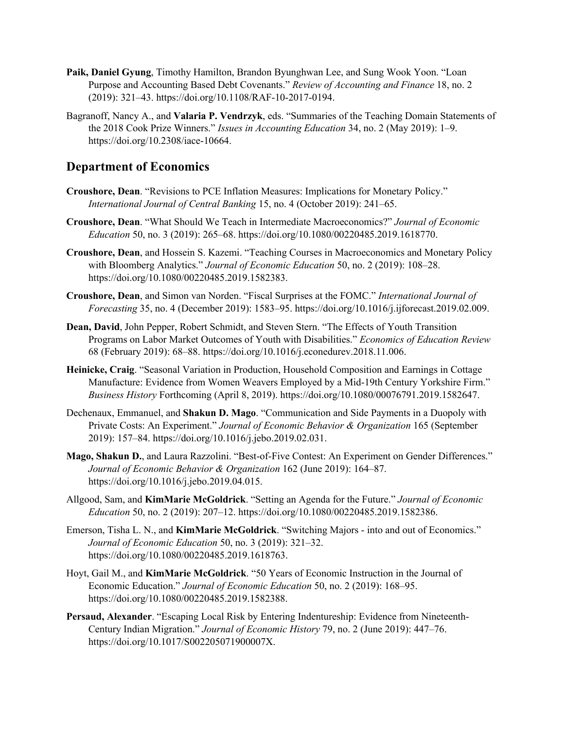- **Paik, Daniel Gyung**, Timothy Hamilton, Brandon Byunghwan Lee, and Sung Wook Yoon. "Loan Purpose and Accounting Based Debt Covenants." *Review of Accounting and Finance* 18, no. 2 (2019): 321–43. https://doi.org/10.1108/RAF-10-2017-0194.
- Bagranoff, Nancy A., and **Valaria P. Vendrzyk**, eds. "Summaries of the Teaching Domain Statements of the 2018 Cook Prize Winners." *Issues in Accounting Education* 34, no. 2 (May 2019): 1–9. https://doi.org/10.2308/iace-10664.

## **Department of Economics**

- **Croushore, Dean**. "Revisions to PCE Inflation Measures: Implications for Monetary Policy." *International Journal of Central Banking* 15, no. 4 (October 2019): 241–65.
- **Croushore, Dean**. "What Should We Teach in Intermediate Macroeconomics?" *Journal of Economic Education* 50, no. 3 (2019): 265–68. https://doi.org/10.1080/00220485.2019.1618770.
- **Croushore, Dean**, and Hossein S. Kazemi. "Teaching Courses in Macroeconomics and Monetary Policy with Bloomberg Analytics." *Journal of Economic Education* 50, no. 2 (2019): 108–28. https://doi.org/10.1080/00220485.2019.1582383.
- **Croushore, Dean**, and Simon van Norden. "Fiscal Surprises at the FOMC." *International Journal of Forecasting* 35, no. 4 (December 2019): 1583–95. https://doi.org/10.1016/j.ijforecast.2019.02.009.
- **Dean, David**, John Pepper, Robert Schmidt, and Steven Stern. "The Effects of Youth Transition Programs on Labor Market Outcomes of Youth with Disabilities." *Economics of Education Review* 68 (February 2019): 68–88. https://doi.org/10.1016/j.econedurev.2018.11.006.
- **Heinicke, Craig**. "Seasonal Variation in Production, Household Composition and Earnings in Cottage Manufacture: Evidence from Women Weavers Employed by a Mid-19th Century Yorkshire Firm." *Business History* Forthcoming (April 8, 2019). https://doi.org/10.1080/00076791.2019.1582647.
- Dechenaux, Emmanuel, and **Shakun D. Mago**. "Communication and Side Payments in a Duopoly with Private Costs: An Experiment." *Journal of Economic Behavior & Organization* 165 (September 2019): 157–84. https://doi.org/10.1016/j.jebo.2019.02.031.
- **Mago, Shakun D.**, and Laura Razzolini. "Best-of-Five Contest: An Experiment on Gender Differences." *Journal of Economic Behavior & Organization* 162 (June 2019): 164–87. https://doi.org/10.1016/j.jebo.2019.04.015.
- Allgood, Sam, and **KimMarie McGoldrick**. "Setting an Agenda for the Future." *Journal of Economic Education* 50, no. 2 (2019): 207–12. https://doi.org/10.1080/00220485.2019.1582386.
- Emerson, Tisha L. N., and **KimMarie McGoldrick**. "Switching Majors into and out of Economics." *Journal of Economic Education* 50, no. 3 (2019): 321–32. https://doi.org/10.1080/00220485.2019.1618763.
- Hoyt, Gail M., and **KimMarie McGoldrick**. "50 Years of Economic Instruction in the Journal of Economic Education." *Journal of Economic Education* 50, no. 2 (2019): 168–95. https://doi.org/10.1080/00220485.2019.1582388.
- **Persaud, Alexander**. "Escaping Local Risk by Entering Indentureship: Evidence from Nineteenth-Century Indian Migration." *Journal of Economic History* 79, no. 2 (June 2019): 447–76. https://doi.org/10.1017/S002205071900007X.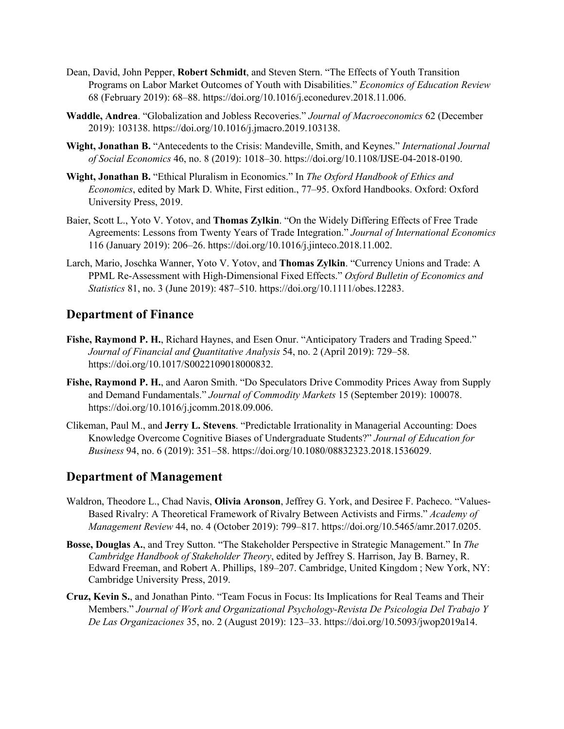- Dean, David, John Pepper, **Robert Schmidt**, and Steven Stern. "The Effects of Youth Transition Programs on Labor Market Outcomes of Youth with Disabilities." *Economics of Education Review* 68 (February 2019): 68–88. https://doi.org/10.1016/j.econedurev.2018.11.006.
- **Waddle, Andrea**. "Globalization and Jobless Recoveries." *Journal of Macroeconomics* 62 (December 2019): 103138. https://doi.org/10.1016/j.jmacro.2019.103138.
- **Wight, Jonathan B.** "Antecedents to the Crisis: Mandeville, Smith, and Keynes." *International Journal of Social Economics* 46, no. 8 (2019): 1018–30. https://doi.org/10.1108/IJSE-04-2018-0190.
- **Wight, Jonathan B.** "Ethical Pluralism in Economics." In *The Oxford Handbook of Ethics and Economics*, edited by Mark D. White, First edition., 77–95. Oxford Handbooks. Oxford: Oxford University Press, 2019.
- Baier, Scott L., Yoto V. Yotov, and **Thomas Zylkin**. "On the Widely Differing Effects of Free Trade Agreements: Lessons from Twenty Years of Trade Integration." *Journal of International Economics* 116 (January 2019): 206–26. https://doi.org/10.1016/j.jinteco.2018.11.002.
- Larch, Mario, Joschka Wanner, Yoto V. Yotov, and **Thomas Zylkin**. "Currency Unions and Trade: A PPML Re-Assessment with High-Dimensional Fixed Effects." *Oxford Bulletin of Economics and Statistics* 81, no. 3 (June 2019): 487–510. https://doi.org/10.1111/obes.12283.

## **Department of Finance**

- **Fishe, Raymond P. H.**, Richard Haynes, and Esen Onur. "Anticipatory Traders and Trading Speed." *Journal of Financial and Quantitative Analysis* 54, no. 2 (April 2019): 729–58. https://doi.org/10.1017/S0022109018000832.
- **Fishe, Raymond P. H.**, and Aaron Smith. "Do Speculators Drive Commodity Prices Away from Supply and Demand Fundamentals." *Journal of Commodity Markets* 15 (September 2019): 100078. https://doi.org/10.1016/j.jcomm.2018.09.006.
- Clikeman, Paul M., and **Jerry L. Stevens**. "Predictable Irrationality in Managerial Accounting: Does Knowledge Overcome Cognitive Biases of Undergraduate Students?" *Journal of Education for Business* 94, no. 6 (2019): 351–58. https://doi.org/10.1080/08832323.2018.1536029.

## **Department of Management**

- Waldron, Theodore L., Chad Navis, **Olivia Aronson**, Jeffrey G. York, and Desiree F. Pacheco. "Values-Based Rivalry: A Theoretical Framework of Rivalry Between Activists and Firms." *Academy of Management Review* 44, no. 4 (October 2019): 799–817. https://doi.org/10.5465/amr.2017.0205.
- **Bosse, Douglas A.**, and Trey Sutton. "The Stakeholder Perspective in Strategic Management." In *The Cambridge Handbook of Stakeholder Theory*, edited by Jeffrey S. Harrison, Jay B. Barney, R. Edward Freeman, and Robert A. Phillips, 189–207. Cambridge, United Kingdom ; New York, NY: Cambridge University Press, 2019.
- **Cruz, Kevin S.**, and Jonathan Pinto. "Team Focus in Focus: Its Implications for Real Teams and Their Members." *Journal of Work and Organizational Psychology-Revista De Psicologia Del Trabajo Y De Las Organizaciones* 35, no. 2 (August 2019): 123–33. https://doi.org/10.5093/jwop2019a14.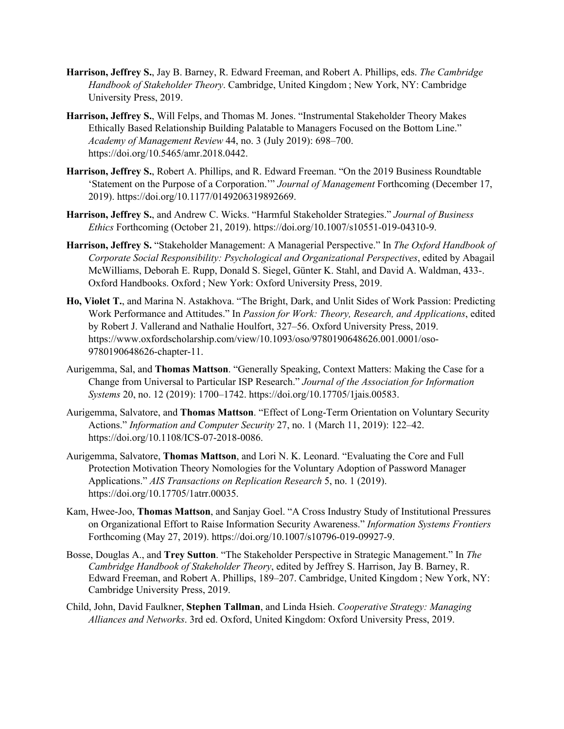- **Harrison, Jeffrey S.**, Jay B. Barney, R. Edward Freeman, and Robert A. Phillips, eds. *The Cambridge Handbook of Stakeholder Theory*. Cambridge, United Kingdom ; New York, NY: Cambridge University Press, 2019.
- **Harrison, Jeffrey S.**, Will Felps, and Thomas M. Jones. "Instrumental Stakeholder Theory Makes Ethically Based Relationship Building Palatable to Managers Focused on the Bottom Line." *Academy of Management Review* 44, no. 3 (July 2019): 698–700. https://doi.org/10.5465/amr.2018.0442.
- **Harrison, Jeffrey S.**, Robert A. Phillips, and R. Edward Freeman. "On the 2019 Business Roundtable 'Statement on the Purpose of a Corporation.'" *Journal of Management* Forthcoming (December 17, 2019). https://doi.org/10.1177/0149206319892669.
- **Harrison, Jeffrey S.**, and Andrew C. Wicks. "Harmful Stakeholder Strategies." *Journal of Business Ethics* Forthcoming (October 21, 2019). https://doi.org/10.1007/s10551-019-04310-9.
- **Harrison, Jeffrey S.** "Stakeholder Management: A Managerial Perspective." In *The Oxford Handbook of Corporate Social Responsibility: Psychological and Organizational Perspectives*, edited by Abagail McWilliams, Deborah E. Rupp, Donald S. Siegel, Günter K. Stahl, and David A. Waldman, 433-. Oxford Handbooks. Oxford ; New York: Oxford University Press, 2019.
- **Ho, Violet T.**, and Marina N. Astakhova. "The Bright, Dark, and Unlit Sides of Work Passion: Predicting Work Performance and Attitudes." In *Passion for Work: Theory, Research, and Applications*, edited by Robert J. Vallerand and Nathalie Houlfort, 327–56. Oxford University Press, 2019. https://www.oxfordscholarship.com/view/10.1093/oso/9780190648626.001.0001/oso-9780190648626-chapter-11.
- Aurigemma, Sal, and **Thomas Mattson**. "Generally Speaking, Context Matters: Making the Case for a Change from Universal to Particular ISP Research." *Journal of the Association for Information Systems* 20, no. 12 (2019): 1700–1742. https://doi.org/10.17705/1jais.00583.
- Aurigemma, Salvatore, and **Thomas Mattson**. "Effect of Long-Term Orientation on Voluntary Security Actions." *Information and Computer Security* 27, no. 1 (March 11, 2019): 122–42. https://doi.org/10.1108/ICS-07-2018-0086.
- Aurigemma, Salvatore, **Thomas Mattson**, and Lori N. K. Leonard. "Evaluating the Core and Full Protection Motivation Theory Nomologies for the Voluntary Adoption of Password Manager Applications." *AIS Transactions on Replication Research* 5, no. 1 (2019). https://doi.org/10.17705/1atrr.00035.
- Kam, Hwee-Joo, **Thomas Mattson**, and Sanjay Goel. "A Cross Industry Study of Institutional Pressures on Organizational Effort to Raise Information Security Awareness." *Information Systems Frontiers* Forthcoming (May 27, 2019). https://doi.org/10.1007/s10796-019-09927-9.
- Bosse, Douglas A., and **Trey Sutton**. "The Stakeholder Perspective in Strategic Management." In *The Cambridge Handbook of Stakeholder Theory*, edited by Jeffrey S. Harrison, Jay B. Barney, R. Edward Freeman, and Robert A. Phillips, 189–207. Cambridge, United Kingdom ; New York, NY: Cambridge University Press, 2019.
- Child, John, David Faulkner, **Stephen Tallman**, and Linda Hsieh. *Cooperative Strategy: Managing Alliances and Networks*. 3rd ed. Oxford, United Kingdom: Oxford University Press, 2019.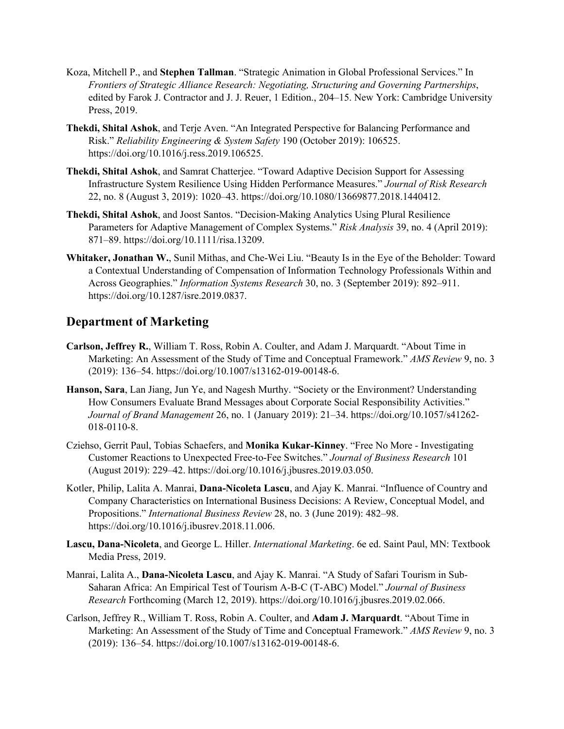- Koza, Mitchell P., and **Stephen Tallman**. "Strategic Animation in Global Professional Services." In *Frontiers of Strategic Alliance Research: Negotiating, Structuring and Governing Partnerships*, edited by Farok J. Contractor and J. J. Reuer, 1 Edition., 204–15. New York: Cambridge University Press, 2019.
- **Thekdi, Shital Ashok**, and Terje Aven. "An Integrated Perspective for Balancing Performance and Risk." *Reliability Engineering & System Safety* 190 (October 2019): 106525. https://doi.org/10.1016/j.ress.2019.106525.
- **Thekdi, Shital Ashok**, and Samrat Chatterjee. "Toward Adaptive Decision Support for Assessing Infrastructure System Resilience Using Hidden Performance Measures." *Journal of Risk Research* 22, no. 8 (August 3, 2019): 1020–43. https://doi.org/10.1080/13669877.2018.1440412.
- **Thekdi, Shital Ashok**, and Joost Santos. "Decision-Making Analytics Using Plural Resilience Parameters for Adaptive Management of Complex Systems." *Risk Analysis* 39, no. 4 (April 2019): 871–89. https://doi.org/10.1111/risa.13209.
- **Whitaker, Jonathan W.**, Sunil Mithas, and Che-Wei Liu. "Beauty Is in the Eye of the Beholder: Toward a Contextual Understanding of Compensation of Information Technology Professionals Within and Across Geographies." *Information Systems Research* 30, no. 3 (September 2019): 892–911. https://doi.org/10.1287/isre.2019.0837.

## **Department of Marketing**

- **Carlson, Jeffrey R.**, William T. Ross, Robin A. Coulter, and Adam J. Marquardt. "About Time in Marketing: An Assessment of the Study of Time and Conceptual Framework." *AMS Review* 9, no. 3 (2019): 136–54. https://doi.org/10.1007/s13162-019-00148-6.
- **Hanson, Sara**, Lan Jiang, Jun Ye, and Nagesh Murthy. "Society or the Environment? Understanding How Consumers Evaluate Brand Messages about Corporate Social Responsibility Activities." *Journal of Brand Management* 26, no. 1 (January 2019): 21–34. https://doi.org/10.1057/s41262- 018-0110-8.
- Cziehso, Gerrit Paul, Tobias Schaefers, and **Monika Kukar-Kinney**. "Free No More Investigating Customer Reactions to Unexpected Free-to-Fee Switches." *Journal of Business Research* 101 (August 2019): 229–42. https://doi.org/10.1016/j.jbusres.2019.03.050.
- Kotler, Philip, Lalita A. Manrai, **Dana-Nicoleta Lascu**, and Ajay K. Manrai. "Influence of Country and Company Characteristics on International Business Decisions: A Review, Conceptual Model, and Propositions." *International Business Review* 28, no. 3 (June 2019): 482–98. https://doi.org/10.1016/j.ibusrev.2018.11.006.
- **Lascu, Dana-Nicoleta**, and George L. Hiller. *International Marketing*. 6e ed. Saint Paul, MN: Textbook Media Press, 2019.
- Manrai, Lalita A., **Dana-Nicoleta Lascu**, and Ajay K. Manrai. "A Study of Safari Tourism in Sub-Saharan Africa: An Empirical Test of Tourism A-B-C (T-ABC) Model." *Journal of Business Research* Forthcoming (March 12, 2019). https://doi.org/10.1016/j.jbusres.2019.02.066.
- Carlson, Jeffrey R., William T. Ross, Robin A. Coulter, and **Adam J. Marquardt**. "About Time in Marketing: An Assessment of the Study of Time and Conceptual Framework." *AMS Review* 9, no. 3 (2019): 136–54. https://doi.org/10.1007/s13162-019-00148-6.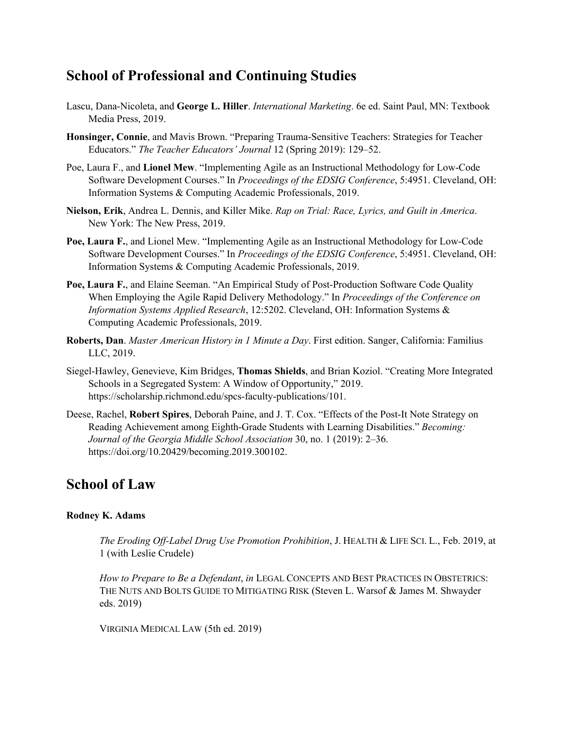## **School of Professional and Continuing Studies**

- Lascu, Dana-Nicoleta, and **George L. Hiller**. *International Marketing*. 6e ed. Saint Paul, MN: Textbook Media Press, 2019.
- **Honsinger, Connie**, and Mavis Brown. "Preparing Trauma-Sensitive Teachers: Strategies for Teacher Educators." *The Teacher Educators' Journal* 12 (Spring 2019): 129–52.
- Poe, Laura F., and **Lionel Mew**. "Implementing Agile as an Instructional Methodology for Low-Code Software Development Courses." In *Proceedings of the EDSIG Conference*, 5:4951. Cleveland, OH: Information Systems & Computing Academic Professionals, 2019.
- **Nielson, Erik**, Andrea L. Dennis, and Killer Mike. *Rap on Trial: Race, Lyrics, and Guilt in America*. New York: The New Press, 2019.
- **Poe, Laura F.**, and Lionel Mew. "Implementing Agile as an Instructional Methodology for Low-Code Software Development Courses." In *Proceedings of the EDSIG Conference*, 5:4951. Cleveland, OH: Information Systems & Computing Academic Professionals, 2019.
- **Poe, Laura F.**, and Elaine Seeman. "An Empirical Study of Post-Production Software Code Quality When Employing the Agile Rapid Delivery Methodology." In *Proceedings of the Conference on Information Systems Applied Research*, 12:5202. Cleveland, OH: Information Systems & Computing Academic Professionals, 2019.
- **Roberts, Dan**. *Master American History in 1 Minute a Day*. First edition. Sanger, California: Familius LLC, 2019.
- Siegel-Hawley, Genevieve, Kim Bridges, **Thomas Shields**, and Brian Koziol. "Creating More Integrated Schools in a Segregated System: A Window of Opportunity," 2019. https://scholarship.richmond.edu/spcs-faculty-publications/101.
- Deese, Rachel, **Robert Spires**, Deborah Paine, and J. T. Cox. "Effects of the Post-It Note Strategy on Reading Achievement among Eighth-Grade Students with Learning Disabilities." *Becoming: Journal of the Georgia Middle School Association* 30, no. 1 (2019): 2–36. https://doi.org/10.20429/becoming.2019.300102.

## **School of Law**

### **Rodney K. Adams**

*The Eroding Off-Label Drug Use Promotion Prohibition*, J. HEALTH & LIFE SCI. L., Feb. 2019, at 1 (with Leslie Crudele)

*How to Prepare to Be a Defendant*, *in* LEGAL CONCEPTS AND BEST PRACTICES IN OBSTETRICS: THE NUTS AND BOLTS GUIDE TO MITIGATING RISK (Steven L. Warsof & James M. Shwayder eds. 2019)

VIRGINIA MEDICAL LAW (5th ed. 2019)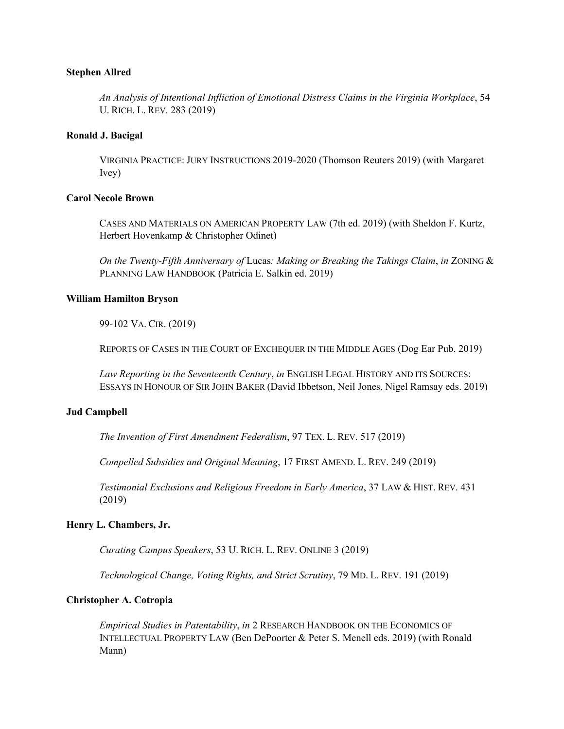### **Stephen Allred**

*An Analysis of Intentional Infliction of Emotional Distress Claims in the Virginia Workplace*, 54 U. RICH. L. REV. 283 (2019)

### **Ronald J. Bacigal**

VIRGINIA PRACTICE: JURY INSTRUCTIONS 2019-2020 (Thomson Reuters 2019) (with Margaret Ivey)

### **Carol Necole Brown**

CASES AND MATERIALS ON AMERICAN PROPERTY LAW (7th ed. 2019) (with Sheldon F. Kurtz, Herbert Hovenkamp & Christopher Odinet)

*On the Twenty-Fifth Anniversary of* Lucas*: Making or Breaking the Takings Claim*, *in* ZONING & PLANNING LAW HANDBOOK (Patricia E. Salkin ed. 2019)

### **William Hamilton Bryson**

99-102 VA. CIR. (2019)

REPORTS OF CASES IN THE COURT OF EXCHEQUER IN THE MIDDLE AGES (Dog Ear Pub. 2019)

*Law Reporting in the Seventeenth Century*, *in* ENGLISH LEGAL HISTORY AND ITS SOURCES: ESSAYS IN HONOUR OF SIR JOHN BAKER (David Ibbetson, Neil Jones, Nigel Ramsay eds. 2019)

#### **Jud Campbell**

*The Invention of First Amendment Federalism*, 97 TEX. L. REV. 517 (2019)

*Compelled Subsidies and Original Meaning*, 17 FIRST AMEND. L. REV. 249 (2019)

*Testimonial Exclusions and Religious Freedom in Early America*, 37 LAW & HIST. REV. 431 (2019)

### **Henry L. Chambers, Jr.**

*Curating Campus Speakers*, 53 U. RICH. L. REV. ONLINE 3 (2019)

*Technological Change, Voting Rights, and Strict Scrutiny*, 79 MD. L. REV. 191 (2019)

#### **Christopher A. Cotropia**

*Empirical Studies in Patentability*, *in* 2 RESEARCH HANDBOOK ON THE ECONOMICS OF INTELLECTUAL PROPERTY LAW (Ben DePoorter & Peter S. Menell eds. 2019) (with Ronald Mann)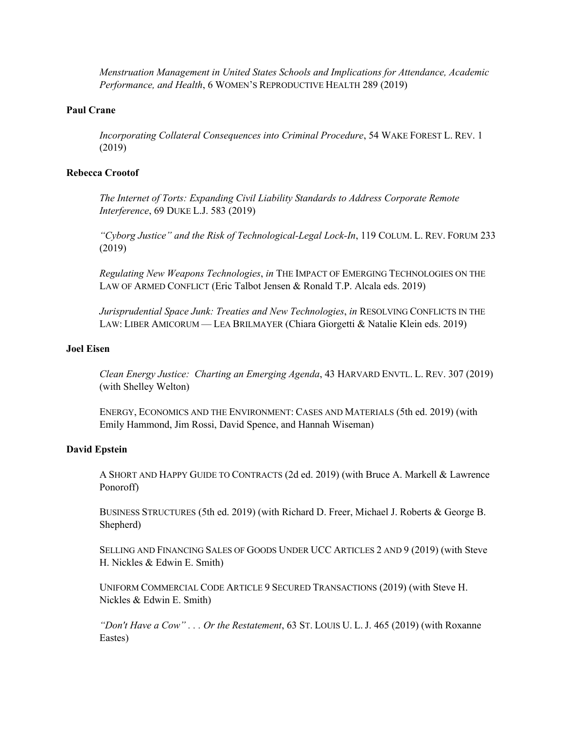*Menstruation Management in United States Schools and Implications for Attendance, Academic Performance, and Health*, 6 WOMEN'S REPRODUCTIVE HEALTH 289 (2019)

### **Paul Crane**

*Incorporating Collateral Consequences into Criminal Procedure*, 54 WAKE FOREST L. REV. 1 (2019)

### **Rebecca Crootof**

*The Internet of Torts: Expanding Civil Liability Standards to Address Corporate Remote Interference*, 69 DUKE L.J. 583 (2019)

*"Cyborg Justice" and the Risk of Technological-Legal Lock-In*, 119 COLUM. L. REV. FORUM 233 (2019)

*Regulating New Weapons Technologies*, *in* THE IMPACT OF EMERGING TECHNOLOGIES ON THE LAW OF ARMED CONFLICT (Eric Talbot Jensen & Ronald T.P. Alcala eds. 2019)

*Jurisprudential Space Junk: Treaties and New Technologies*, *in* RESOLVING CONFLICTS IN THE LAW: LIBER AMICORUM — LEA BRILMAYER (Chiara Giorgetti & Natalie Klein eds. 2019)

### **Joel Eisen**

*Clean Energy Justice: Charting an Emerging Agenda*, 43 HARVARD ENVTL. L. REV. 307 (2019) (with Shelley Welton)

ENERGY, ECONOMICS AND THE ENVIRONMENT: CASES AND MATERIALS (5th ed. 2019) (with Emily Hammond, Jim Rossi, David Spence, and Hannah Wiseman)

### **David Epstein**

A SHORT AND HAPPY GUIDE TO CONTRACTS (2d ed. 2019) (with Bruce A. Markell & Lawrence Ponoroff)

BUSINESS STRUCTURES (5th ed. 2019) (with Richard D. Freer, Michael J. Roberts & George B. Shepherd)

SELLING AND FINANCING SALES OF GOODS UNDER UCC ARTICLES 2 AND 9 (2019) (with Steve H. Nickles & Edwin E. Smith)

UNIFORM COMMERCIAL CODE ARTICLE 9 SECURED TRANSACTIONS (2019) (with Steve H. Nickles & Edwin E. Smith)

*"Don't Have a Cow" . . . Or the Restatement*, 63 ST. LOUIS U. L. J. 465 (2019) (with Roxanne Eastes)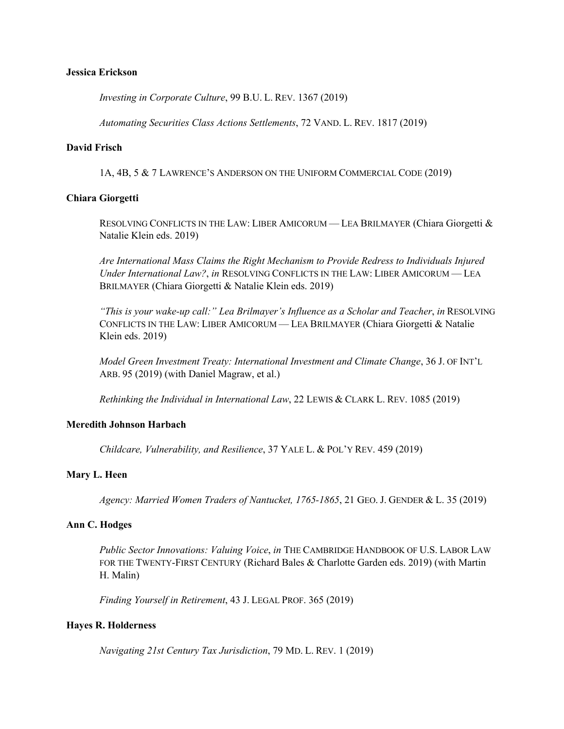#### **Jessica Erickson**

*Investing in Corporate Culture*, 99 B.U. L. REV. 1367 (2019)

*Automating Securities Class Actions Settlements*, 72 VAND. L. REV. 1817 (2019)

### **David Frisch**

1A, 4B, 5 & 7 LAWRENCE'S ANDERSON ON THE UNIFORM COMMERCIAL CODE (2019)

### **Chiara Giorgetti**

RESOLVING CONFLICTS IN THE LAW: LIBER AMICORUM — LEA BRILMAYER (Chiara Giorgetti & Natalie Klein eds. 2019)

*Are International Mass Claims the Right Mechanism to Provide Redress to Individuals Injured Under International Law?*, *in* RESOLVING CONFLICTS IN THE LAW: LIBER AMICORUM — LEA BRILMAYER (Chiara Giorgetti & Natalie Klein eds. 2019)

*"This is your wake-up call:" Lea Brilmayer's Influence as a Scholar and Teacher*, *in* RESOLVING CONFLICTS IN THE LAW: LIBER AMICORUM — LEA BRILMAYER (Chiara Giorgetti & Natalie Klein eds. 2019)

*Model Green Investment Treaty: International Investment and Climate Change*, 36 J. OF INT'L ARB. 95 (2019) (with Daniel Magraw, et al.)

*Rethinking the Individual in International Law*, 22 LEWIS & CLARK L. REV. 1085 (2019)

### **Meredith Johnson Harbach**

*Childcare, Vulnerability, and Resilience*, 37 YALE L. & POL'Y REV. 459 (2019)

### **Mary L. Heen**

*Agency: Married Women Traders of Nantucket, 1765-1865*, 21 GEO. J. GENDER & L. 35 (2019)

### **Ann C. Hodges**

*Public Sector Innovations: Valuing Voice*, *in* THE CAMBRIDGE HANDBOOK OF U.S. LABOR LAW FOR THE TWENTY-FIRST CENTURY (Richard Bales & Charlotte Garden eds. 2019) (with Martin H. Malin)

*Finding Yourself in Retirement*, 43 J. LEGAL PROF. 365 (2019)

### **Hayes R. Holderness**

*Navigating 21st Century Tax Jurisdiction*, 79 MD. L. REV. 1 (2019)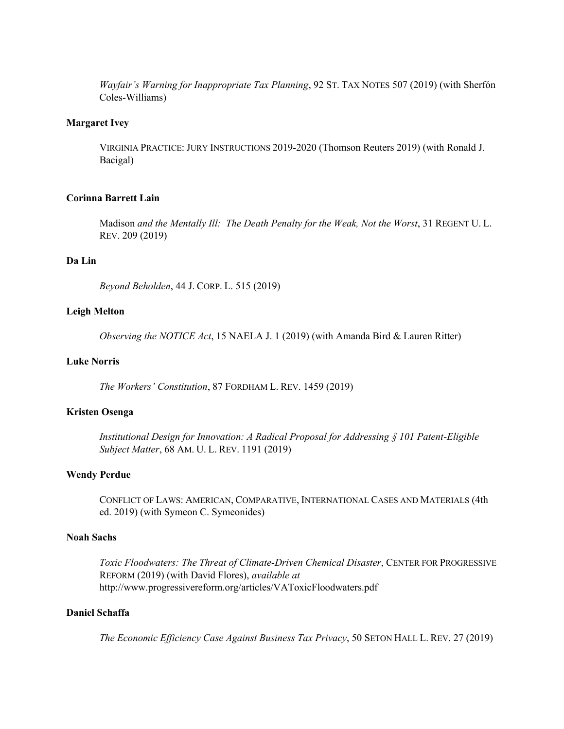*Wayfair's Warning for Inappropriate Tax Planning*, 92 ST. TAX NOTES 507 (2019) (with Sherfón Coles-Williams)

### **Margaret Ivey**

VIRGINIA PRACTICE: JURY INSTRUCTIONS 2019-2020 (Thomson Reuters 2019) (with Ronald J. Bacigal)

### **Corinna Barrett Lain**

Madison *and the Mentally Ill: The Death Penalty for the Weak, Not the Worst*, 31 REGENT U.L. REV. 209 (2019)

### **Da Lin**

*Beyond Beholden*, 44 J. CORP. L. 515 (2019)

#### **Leigh Melton**

*Observing the NOTICE Act*, 15 NAELA J. 1 (2019) (with Amanda Bird & Lauren Ritter)

### **Luke Norris**

*The Workers' Constitution*, 87 FORDHAM L. REV. 1459 (2019)

### **Kristen Osenga**

*Institutional Design for Innovation: A Radical Proposal for Addressing § 101 Patent-Eligible Subject Matter*, 68 AM. U. L. REV. 1191 (2019)

#### **Wendy Perdue**

CONFLICT OF LAWS: AMERICAN, COMPARATIVE, INTERNATIONAL CASES AND MATERIALS (4th ed. 2019) (with Symeon C. Symeonides)

### **Noah Sachs**

*Toxic Floodwaters: The Threat of Climate-Driven Chemical Disaster*, CENTER FOR PROGRESSIVE REFORM (2019) (with David Flores), *available at* http://www.progressivereform.org/articles/VAToxicFloodwaters.pdf

### **Daniel Schaffa**

*The Economic Efficiency Case Against Business Tax Privacy*, 50 SETON HALL L. REV. 27 (2019)